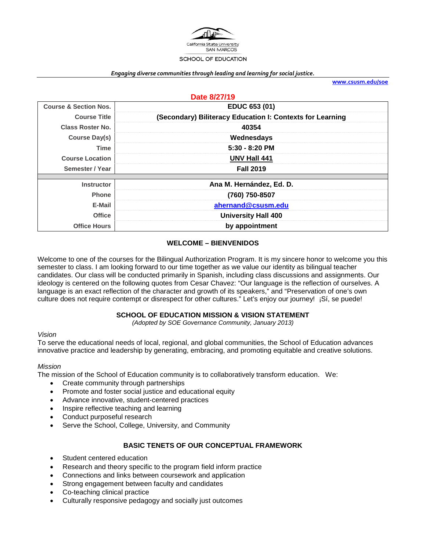

#### *Engaging diverse communities through leading and learning for social justice.*

**[www.csusm.edu/soe](http://www.csusm.edu/soe)**

| Date 8/27/19                     |                                                           |  |  |
|----------------------------------|-----------------------------------------------------------|--|--|
| <b>Course &amp; Section Nos.</b> | EDUC 653 (01)                                             |  |  |
| <b>Course Title</b>              | (Secondary) Biliteracy Education I: Contexts for Learning |  |  |
| <b>Class Roster No.</b>          | 40354                                                     |  |  |
| <b>Course Day(s)</b>             | Wednesdays                                                |  |  |
| Time                             | $5:30 - 8:20$ PM                                          |  |  |
| <b>Course Location</b>           | UNV Hall 441                                              |  |  |
| Semester / Year                  | <b>Fall 2019</b>                                          |  |  |
|                                  |                                                           |  |  |
| <b>Instructor</b>                | Ana M. Hernández, Ed. D.                                  |  |  |
| <b>Phone</b>                     | (760) 750-8507                                            |  |  |
| E-Mail                           | ahernand@csusm.edu                                        |  |  |
| <b>Office</b>                    | <b>University Hall 400</b>                                |  |  |
| <b>Office Hours</b>              | by appointment                                            |  |  |

#### **WELCOME – BIENVENIDOS**

Welcome to one of the courses for the Bilingual Authorization Program. It is my sincere honor to welcome you this semester to class. I am looking forward to our time together as we value our identity as bilingual teacher candidates. Our class will be conducted primarily in Spanish, including class discussions and assignments. Our ideology is centered on the following quotes from Cesar Chavez: "Our language is the reflection of ourselves. A language is an exact reflection of the character and growth of its speakers," and "Preservation of one's own culture does not require contempt or disrespect for other cultures." Let's enjoy our journey! ¡Sí, se puede!

#### **SCHOOL OF EDUCATION MISSION & VISION STATEMENT**

*(Adopted by SOE Governance Community, January 2013)*

#### *Vision*

To serve the educational needs of local, regional, and global communities, the School of Education advances innovative practice and leadership by generating, embracing, and promoting equitable and creative solutions.

#### *Mission*

The mission of the School of Education community is to collaboratively transform education. We:

- Create community through partnerships
- Promote and foster social justice and educational equity
- Advance innovative, student-centered practices
- Inspire reflective teaching and learning
- Conduct purposeful research
- Serve the School, College, University, and Community

#### **BASIC TENETS OF OUR CONCEPTUAL FRAMEWORK**

- Student centered education
- Research and theory specific to the program field inform practice
- Connections and links between coursework and application
- Strong engagement between faculty and candidates
- Co-teaching clinical practice
- Culturally responsive pedagogy and socially just outcomes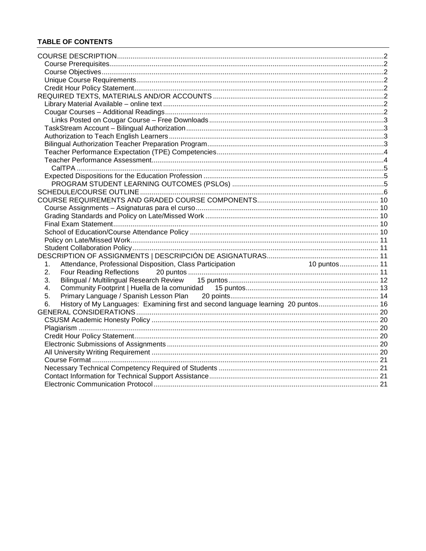# **TABLE OF CONTENTS**

| 10 puntos  11<br>Attendance, Professional Disposition, Class Participation<br>1.<br>2.<br>3.<br>4.<br>5.<br>History of My Languages: Examining first and second language learning 20 puntos 16<br>6. |  |
|------------------------------------------------------------------------------------------------------------------------------------------------------------------------------------------------------|--|
|                                                                                                                                                                                                      |  |
|                                                                                                                                                                                                      |  |
|                                                                                                                                                                                                      |  |
|                                                                                                                                                                                                      |  |
|                                                                                                                                                                                                      |  |
|                                                                                                                                                                                                      |  |
|                                                                                                                                                                                                      |  |
|                                                                                                                                                                                                      |  |
|                                                                                                                                                                                                      |  |
|                                                                                                                                                                                                      |  |
|                                                                                                                                                                                                      |  |
|                                                                                                                                                                                                      |  |
|                                                                                                                                                                                                      |  |
|                                                                                                                                                                                                      |  |
|                                                                                                                                                                                                      |  |
|                                                                                                                                                                                                      |  |
|                                                                                                                                                                                                      |  |
|                                                                                                                                                                                                      |  |
|                                                                                                                                                                                                      |  |
|                                                                                                                                                                                                      |  |
|                                                                                                                                                                                                      |  |
|                                                                                                                                                                                                      |  |
|                                                                                                                                                                                                      |  |
|                                                                                                                                                                                                      |  |
|                                                                                                                                                                                                      |  |
|                                                                                                                                                                                                      |  |
|                                                                                                                                                                                                      |  |
|                                                                                                                                                                                                      |  |
|                                                                                                                                                                                                      |  |
|                                                                                                                                                                                                      |  |
|                                                                                                                                                                                                      |  |
|                                                                                                                                                                                                      |  |
|                                                                                                                                                                                                      |  |
|                                                                                                                                                                                                      |  |
|                                                                                                                                                                                                      |  |
|                                                                                                                                                                                                      |  |
|                                                                                                                                                                                                      |  |
|                                                                                                                                                                                                      |  |
|                                                                                                                                                                                                      |  |
|                                                                                                                                                                                                      |  |
|                                                                                                                                                                                                      |  |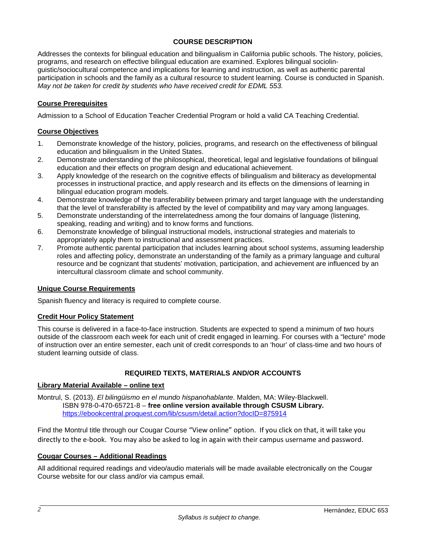### **COURSE DESCRIPTION**

<span id="page-2-0"></span>Addresses the contexts for bilingual education and bilingualism in California public schools. The history, policies, programs, and research on effective bilingual education are examined. Explores bilingual sociolinguistic/sociocultural competence and implications for learning and instruction, as well as authentic parental participation in schools and the family as a cultural resource to student learning. Course is conducted in Spanish. *May not be taken for credit by students who have received credit for EDML 553.* 

# <span id="page-2-1"></span>**Course Prerequisites**

Admission to a School of Education Teacher Credential Program or hold a valid CA Teaching Credential.

#### <span id="page-2-2"></span>**Course Objectives**

- 1. Demonstrate knowledge of the history, policies, programs, and research on the effectiveness of bilingual education and bilingualism in the United States.
- 2. Demonstrate understanding of the philosophical, theoretical, legal and legislative foundations of bilingual education and their effects on program design and educational achievement.
- 3. Apply knowledge of the research on the cognitive effects of bilingualism and biliteracy as developmental processes in instructional practice, and apply research and its effects on the dimensions of learning in bilingual education program models.
- 4. Demonstrate knowledge of the transferability between primary and target language with the understanding that the level of transferability is affected by the level of compatibility and may vary among languages.
- 5. Demonstrate understanding of the interrelatedness among the four domains of language (listening, speaking, reading and writing) and to know forms and functions.
- 6. Demonstrate knowledge of bilingual instructional models, instructional strategies and materials to appropriately apply them to instructional and assessment practices.
- 7. Promote authentic parental participation that includes learning about school systems, assuming leadership roles and affecting policy, demonstrate an understanding of the family as a primary language and cultural resource and be cognizant that students' motivation, participation, and achievement are influenced by an intercultural classroom climate and school community.

#### <span id="page-2-3"></span>**Unique Course Requirements**

Spanish fluency and literacy is required to complete course.

#### <span id="page-2-4"></span>**Credit Hour Policy Statement**

This course is delivered in a face-to-face instruction. Students are expected to spend a minimum of two hours outside of the classroom each week for each unit of credit engaged in learning. For courses with a "lecture" mode of instruction over an entire semester, each unit of credit corresponds to an 'hour' of class-time and two hours of student learning outside of class.

#### **REQUIRED TEXTS, MATERIALS AND/OR ACCOUNTS**

#### <span id="page-2-6"></span><span id="page-2-5"></span>**Library Material Available – online text**

Montrul, S. (2013). *El bilingüismo en el mundo hispanohablante*. Malden, MA: Wiley-Blackwell. ISBN 978-0-470-65721-8 – **free online version available through CSUSM Library.** <https://ebookcentral.proquest.com/lib/csusm/detail.action?docID=875914>

Find the Montrul title through our Cougar Course "View online" option. If you click on that, it will take you directly to the e-book. You may also be asked to log in again with their campus username and password.

#### <span id="page-2-7"></span>**Cougar Courses – Additional Readings**

All additional required readings and video/audio materials will be made available electronically on the Cougar Course website for our class and/or via campus email.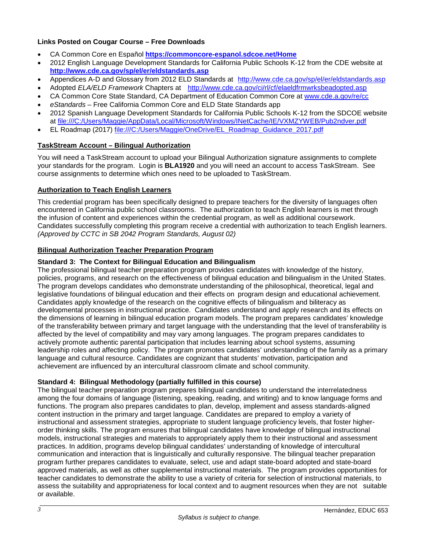# <span id="page-3-0"></span>**Links Posted on Cougar Course – Free Downloads**

- CA Common Core en Español **<https://commoncore-espanol.sdcoe.net/Home>**
- 2012 English Language Development Standards for California Public Schools K-12 from the CDE website at **<http://www.cde.ca.gov/sp/el/er/eldstandards.asp>**
- Appendices A-D and Glossary from 2012 ELD Standards at <http://www.cde.ca.gov/sp/el/er/eldstandards.asp>
- Adopted *ELA/ELD Framework* Chapters at <http://www.cde.ca.gov/ci/rl/cf/elaeldfrmwrksbeadopted.asp>
- CA Common Core State Standard, CA Department of Education Common Core at [www.cde.a.gov/re/cc](http://www.cde.a.gov/re/cc)
- *eStandards*  Free California Common Core and ELD State Standards app
- 2012 Spanish Language Development Standards for California Public Schools K-12 from the SDCOE website at file:///C:/Users/Maggie/AppData/Local/Microsoft/Windows/INetCache/IE/VXMZYWEB/Pub2ndver.pdf
- EL Roadmap (2017) file:///C:/Users/Maggie/OneDrive/EL\_Roadmap\_Guidance\_2017.pdf

# <span id="page-3-1"></span>**TaskStream Account – Bilingual Authorization**

You will need a TaskStream account to upload your Bilingual Authorization signature assignments to complete your standards for the program. Login is **BLA1920** and you will need an account to access TaskStream. See course assignments to determine which ones need to be uploaded to TaskStream.

#### <span id="page-3-2"></span>**Authorization to Teach English Learners**

This credential program has been specifically designed to prepare teachers for the diversity of languages often encountered in California public school classrooms. The authorization to teach English learners is met through the infusion of content and experiences within the credential program, as well as additional coursework. Candidates successfully completing this program receive a credential with authorization to teach English learners. *(Approved by CCTC in SB 2042 Program Standards, August 02)*

# <span id="page-3-3"></span>**Bilingual Authorization Teacher Preparation Program**

#### **Standard 3: The Context for Bilingual Education and Bilingualism**

The professional bilingual teacher preparation program provides candidates with knowledge of the history, policies, programs, and research on the effectiveness of bilingual education and bilingualism in the United States. The program develops candidates who demonstrate understanding of the philosophical, theoretical, legal and legislative foundations of bilingual education and their effects on program design and educational achievement. Candidates apply knowledge of the research on the cognitive effects of bilingualism and biliteracy as developmental processes in instructional practice. Candidates understand and apply research and its effects on the dimensions of learning in bilingual education program models. The program prepares candidates' knowledge of the transferability between primary and target language with the understanding that the level of transferability is affected by the level of compatibility and may vary among languages. The program prepares candidates to actively promote authentic parental participation that includes learning about school systems, assuming leadership roles and affecting policy. The program promotes candidates' understanding of the family as a primary language and cultural resource. Candidates are cognizant that students' motivation, participation and achievement are influenced by an intercultural classroom climate and school community.

#### **Standard 4: Bilingual Methodology (partially fulfilled in this course)**

The bilingual teacher preparation program prepares bilingual candidates to understand the interrelatedness among the four domains of language (listening, speaking, reading, and writing) and to know language forms and functions. The program also prepares candidates to plan, develop, implement and assess standards-aligned content instruction in the primary and target language. Candidates are prepared to employ a variety of instructional and assessment strategies, appropriate to student language proficiency levels, that foster higherorder thinking skills. The program ensures that bilingual candidates have knowledge of bilingual instructional models, instructional strategies and materials to appropriately apply them to their instructional and assessment practices. In addition, programs develop bilingual candidates' understanding of knowledge of intercultural communication and interaction that is linguistically and culturally responsive. The bilingual teacher preparation program further prepares candidates to evaluate, select, use and adapt state-board adopted and state-board approved materials, as well as other supplemental instructional materials. The program provides opportunities for teacher candidates to demonstrate the ability to use a variety of criteria for selection of instructional materials, to assess the suitability and appropriateness for local context and to augment resources when they are not suitable or available.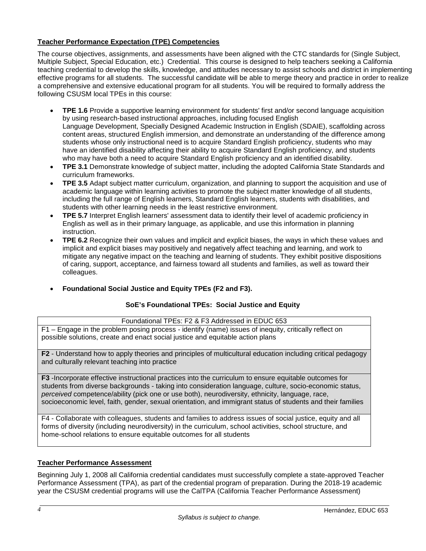# <span id="page-4-0"></span>**Teacher Performance Expectation (TPE) Competencies**

The course objectives, assignments, and assessments have been aligned with the CTC standards for (Single Subject, Multiple Subject, Special Education, etc.) Credential. This course is designed to help teachers seeking a California teaching credential to develop the skills, knowledge, and attitudes necessary to assist schools and district in implementing effective programs for all students. The successful candidate will be able to merge theory and practice in order to realize a comprehensive and extensive educational program for all students. You will be required to formally address the following CSUSM local TPEs in this course:

- **TPE 1.6** Provide a supportive learning environment for students' first and/or second language acquisition by using research-based instructional approaches, including focused English Language Development, Specially Designed Academic Instruction in English (SDAIE), scaffolding across content areas, structured English immersion, and demonstrate an understanding of the difference among students whose only instructional need is to acquire Standard English proficiency, students who may have an identified disability affecting their ability to acquire Standard English proficiency, and students who may have both a need to acquire Standard English proficiency and an identified disability.
- **TPE 3.1** Demonstrate knowledge of subject matter, including the adopted California State Standards and curriculum frameworks.
- **TPE 3.5** Adapt subject matter curriculum, organization, and planning to support the acquisition and use of academic language within learning activities to promote the subject matter knowledge of all students, including the full range of English learners, Standard English learners, students with disabilities, and students with other learning needs in the least restrictive environment.
- **TPE 5.7** Interpret English learners' assessment data to identify their level of academic proficiency in English as well as in their primary language, as applicable, and use this information in planning instruction.
- **TPE 6.2** Recognize their own values and implicit and explicit biases, the ways in which these values and implicit and explicit biases may positively and negatively affect teaching and learning, and work to mitigate any negative impact on the teaching and learning of students. They exhibit positive dispositions of caring, support, acceptance, and fairness toward all students and families, as well as toward their colleagues.
- **Foundational Social Justice and Equity TPEs (F2 and F3).**

# **SoE's Foundational TPEs: Social Justice and Equity**

# Foundational TPEs: F2 & F3 Addressed in EDUC 653

F1 – Engage in the problem posing process - identify (name) issues of inequity, critically reflect on possible solutions, create and enact social justice and equitable action plans

**F2** - Understand how to apply theories and principles of multicultural education including critical pedagogy and culturally relevant teaching into practice

**F3** -Incorporate effective instructional practices into the curriculum to ensure equitable outcomes for students from diverse backgrounds - taking into consideration language, culture, socio-economic status, *perceived* competence/ability (pick one or use both), neurodiversity, ethnicity, language, race, socioeconomic level, faith, gender, sexual orientation, and immigrant status of students and their families

F4 - Collaborate with colleagues, students and families to address issues of social justice, equity and all forms of diversity (including neurodiversity) in the curriculum, school activities, school structure, and home-school relations to ensure equitable outcomes for all students

#### <span id="page-4-1"></span>**Teacher Performance Assessment**

Beginning July 1, 2008 all California credential candidates must successfully complete a state-approved Teacher Performance Assessment (TPA), as part of the credential program of preparation. During the 2018-19 academic year the CSUSM credential programs will use the CalTPA (California Teacher Performance Assessment)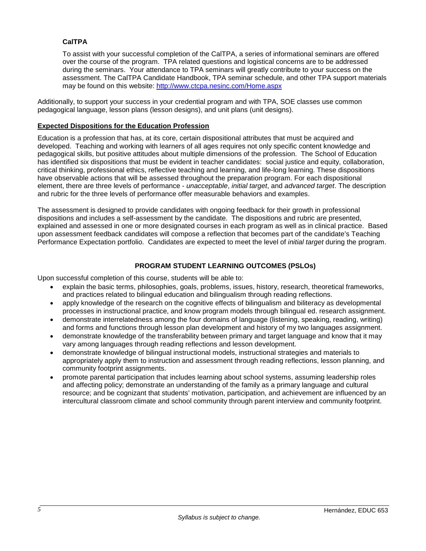# <span id="page-5-0"></span>**CalTPA**

To assist with your successful completion of the CalTPA, a series of informational seminars are offered over the course of the program. TPA related questions and logistical concerns are to be addressed during the seminars. Your attendance to TPA seminars will greatly contribute to your success on the assessment. The CalTPA Candidate Handbook, TPA seminar schedule, and other TPA support materials may be found on this website:<http://www.ctcpa.nesinc.com/Home.aspx>

Additionally, to support your success in your credential program and with TPA, SOE classes use common pedagogical language, lesson plans (lesson designs), and unit plans (unit designs).

## <span id="page-5-1"></span>**Expected Dispositions for the Education Profession**

Education is a profession that has, at its core, certain dispositional attributes that must be acquired and developed. Teaching and working with learners of all ages requires not only specific content knowledge and pedagogical skills, but positive attitudes about multiple dimensions of the profession. The School of Education has identified six dispositions that must be evident in teacher candidates: social justice and equity, collaboration, critical thinking, professional ethics, reflective teaching and learning, and life-long learning. These dispositions have observable actions that will be assessed throughout the preparation program. For each dispositional element, there are three levels of performance - *unacceptable*, *initial target*, and *advanced target*. The description and rubric for the three levels of performance offer measurable behaviors and examples.

The assessment is designed to provide candidates with ongoing feedback for their growth in professional dispositions and includes a self-assessment by the candidate. The dispositions and rubric are presented, explained and assessed in one or more designated courses in each program as well as in clinical practice. Based upon assessment feedback candidates will compose a reflection that becomes part of the candidate's Teaching Performance Expectation portfolio. Candidates are expected to meet the level of *initial target* during the program.

#### **PROGRAM STUDENT LEARNING OUTCOMES (PSLOs)**

<span id="page-5-2"></span>Upon successful completion of this course, students will be able to:

- explain the basic terms, philosophies, goals, problems, issues, history, research, theoretical frameworks, and practices related to bilingual education and bilingualism through reading reflections.
- apply knowledge of the research on the cognitive effects of bilingualism and biliteracy as developmental processes in instructional practice, and know program models through bilingual ed. research assignment.
- demonstrate interrelatedness among the four domains of language (listening, speaking, reading, writing) and forms and functions through lesson plan development and history of my two languages assignment.
- demonstrate knowledge of the transferability between primary and target language and know that it may vary among languages through reading reflections and lesson development.
- demonstrate knowledge of bilingual instructional models, instructional strategies and materials to appropriately apply them to instruction and assessment through reading reflections, lesson planning, and community footprint assignments.
- promote parental participation that includes learning about school systems, assuming leadership roles and affecting policy; demonstrate an understanding of the family as a primary language and cultural resource; and be cognizant that students' motivation, participation, and achievement are influenced by an intercultural classroom climate and school community through parent interview and community footprint.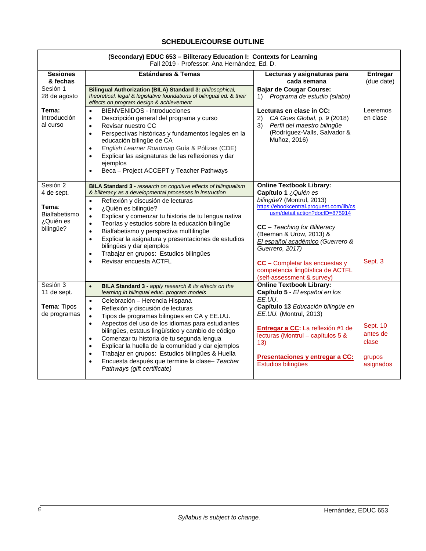### **SCHEDULE/COURSE OUTLINE**

<span id="page-6-0"></span>

| (Secondary) EDUC 653 - Biliteracy Education I: Contexts for Learning<br>Fall 2019 - Professor: Ana Hernández, Ed. D. |                                                                                                                                                                                                                                                                                                                                                                                                                                                                                                                                                                                                                                                                                  |                                                                                                                                                                                                                                                                                                                                                                                             |                                                      |  |
|----------------------------------------------------------------------------------------------------------------------|----------------------------------------------------------------------------------------------------------------------------------------------------------------------------------------------------------------------------------------------------------------------------------------------------------------------------------------------------------------------------------------------------------------------------------------------------------------------------------------------------------------------------------------------------------------------------------------------------------------------------------------------------------------------------------|---------------------------------------------------------------------------------------------------------------------------------------------------------------------------------------------------------------------------------------------------------------------------------------------------------------------------------------------------------------------------------------------|------------------------------------------------------|--|
| <b>Sesiones</b><br>& fechas                                                                                          | <b>Estándares &amp; Temas</b>                                                                                                                                                                                                                                                                                                                                                                                                                                                                                                                                                                                                                                                    | Lecturas y asignaturas para<br>cada semana                                                                                                                                                                                                                                                                                                                                                  | Entregar<br>(due date)                               |  |
| Sesión 1<br>28 de agosto<br>Tema:<br>Introducción<br>al curso                                                        | Bilingual Authorization (BILA) Standard 3: philosophical,<br>theoretical, legal & legislative foundations of bilingual ed. & their<br>effects on program design & achievement<br>BIENVENIDOS - introducciones<br>$\bullet$<br>Descripción general del programa y curso<br>$\bullet$<br>Revisar nuestro CC<br>$\bullet$<br>Perspectivas históricas y fundamentos legales en la<br>$\bullet$<br>educación bilingüe de CA<br>English Learner Roadmap Guía & Pólizas (CDE)<br>$\bullet$<br>Explicar las asignaturas de las reflexiones y dar<br>ejemplos<br>Beca - Project ACCEPT y Teacher Pathways                                                                                 | <b>Bajar de Cougar Course:</b><br>Programa de estudio (silabo)<br>1)<br>Lecturas en clase in CC:<br>CA Goes Global, p. 9 (2018)<br>2)<br>Perfil del maestro bilingüe<br>3)<br>(Rodríguez-Valls, Salvador &<br>Muñoz, 2016)                                                                                                                                                                  | Leeremos<br>en clase                                 |  |
| Sesión $2$<br>4 de sept.<br>Tema:<br>Bialfabetismo<br>¿Quién es<br>bilingüe?                                         | BILA Standard 3 - research on cognitive effects of bilingualism<br>& biliteracy as a developmental processes in instruction<br>Reflexión y discusión de lecturas<br>$\bullet$<br>¿Quién es bilingüe?<br>$\bullet$<br>Explicar y comenzar tu historia de tu lengua nativa<br>$\bullet$<br>Teorías y estudios sobre la educación bilingüe<br>$\bullet$<br>Bialfabetismo y perspectiva multilingüe<br>$\bullet$<br>Explicar la asignatura y presentaciones de estudios<br>$\bullet$<br>bilingües y dar ejemplos<br>Trabajar en grupos: Estudios bilingües<br>$\bullet$<br>Revisar encuesta ACTFL                                                                                    | <b>Online Textbook Library:</b><br>Capítulo 1 ¿ Quién es<br>bilingüe? (Montrul, 2013)<br>https://ebookcentral.proquest.com/lib/cs<br>usm/detail.action?docID=875914<br>$CC - Teaching$ for Biliteracy<br>(Beeman & Urow, 2013) &<br>El español académico (Guerrero &<br>Guerrero, 2017)<br>CC - Completar las encuestas y<br>competencia lingüística de ACTFL<br>(self-assessment & survey) | Sept. 3                                              |  |
| Sesión 3<br>11 de sept.<br>Tema: Tipos<br>de programas                                                               | BILA Standard 3 - apply research & its effects on the<br>$\bullet$<br>learning in bilingual educ. program models<br>Celebración - Herencia Hispana<br>$\bullet$<br>Reflexión y discusión de lecturas<br>$\bullet$<br>Tipos de programas bilingües en CA y EE.UU.<br>$\bullet$<br>Aspectos del uso de los idiomas para estudiantes<br>$\bullet$<br>bilingües, estatus lingüístico y cambio de código<br>Comenzar tu historia de tu segunda lengua<br>$\bullet$<br>Explicar la huella de la comunidad y dar ejemplos<br>$\bullet$<br>Trabajar en grupos: Estudios bilingües & Huella<br>$\bullet$<br>Encuesta después que termine la clase- Teacher<br>Pathways (gift certificate) | <b>Online Textbook Library:</b><br>Capítulo 5 - El español en los<br>EE.UU.<br>Capítulo 13 Educación bilingüe en<br>EE.UU. (Montrul, 2013)<br>Entregar a CC: La reflexión #1 de<br>lecturas (Montrul - capítulos 5 &<br>13)<br>Presentaciones y entregar a CC:<br>Estudios bilingües                                                                                                        | Sept. 10<br>antes de<br>clase<br>grupos<br>asignados |  |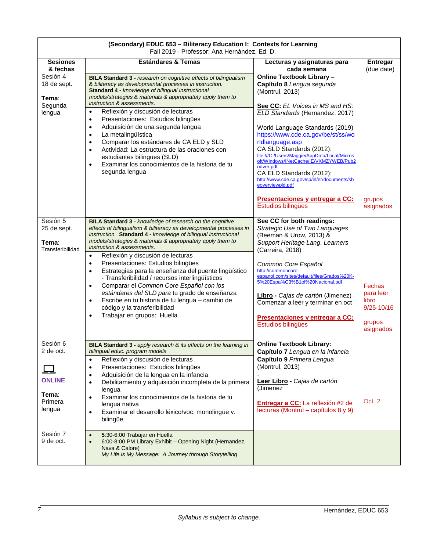| (Secondary) EDUC 633 – Billteracy Education I. Contexts for Learning<br>Fall 2019 - Professor: Ana Hernández, Ed. D. |                                                                                                                                                                                                                                                                                                                                                                                                                                                                                                                                                                                                                                                                                                                                                                                       |                                                                                                                                                                                                                                                                                                                                                                                                                                                                                                                                        |                                                                       |  |
|----------------------------------------------------------------------------------------------------------------------|---------------------------------------------------------------------------------------------------------------------------------------------------------------------------------------------------------------------------------------------------------------------------------------------------------------------------------------------------------------------------------------------------------------------------------------------------------------------------------------------------------------------------------------------------------------------------------------------------------------------------------------------------------------------------------------------------------------------------------------------------------------------------------------|----------------------------------------------------------------------------------------------------------------------------------------------------------------------------------------------------------------------------------------------------------------------------------------------------------------------------------------------------------------------------------------------------------------------------------------------------------------------------------------------------------------------------------------|-----------------------------------------------------------------------|--|
| <b>Sesiones</b><br>& fechas                                                                                          | <b>Estándares &amp; Temas</b>                                                                                                                                                                                                                                                                                                                                                                                                                                                                                                                                                                                                                                                                                                                                                         | Lecturas y asignaturas para<br>cada semana                                                                                                                                                                                                                                                                                                                                                                                                                                                                                             | <b>Entregar</b><br>(due date)                                         |  |
| Sesión 4<br>18 de sept.<br>Tema∶<br>Segunda<br>lengua                                                                | BILA Standard 3 - research on cognitive effects of bilingualism<br>& biliteracy as developmental processes in instruction.<br>Standard 4 - knowledge of bilingual instructional<br>models/strategies & materials & appropriately apply them to<br>instruction & assessments.<br>Reflexión y discusión de lecturas<br>Presentaciones: Estudios bilingües<br>$\bullet$<br>Adquisición de una segunda lengua<br>$\bullet$<br>La metalingüística<br>$\bullet$<br>Comparar los estándares de CA ELD y SLD<br>$\bullet$<br>Actividad: La estructura de las oraciones con<br>$\bullet$<br>estudiantes bilingües (SLD)<br>Examinar los conocimientos de la historia de tu<br>$\bullet$<br>segunda lengua                                                                                      | Online Textbook Library -<br>Capítulo 8 Lengua segunda<br>(Montrul, 2013)<br>See CC: EL Voices in MS and HS:<br>ELD Standards (Hernandez, 2017)<br>World Language Standards (2019)<br>https://www.cde.ca.gov/be/st/ss/wo<br>rldlanguage.asp<br>CA SLD Standards (2012):<br>file:///C:/Users/Maggie/AppData/Local/Micros<br>oft/Windows/INetCache/IE/VXMZYWEB/Pub2<br>ndver.pdf<br>CA ELD Standards (2012):<br>http://www.cde.ca.gov/sp/el/er/documents/sb<br>eoverviewpld.pdf<br>Presentaciones y entregar a CC:<br>Estudios bilingües | grupos<br>asignados                                                   |  |
| Sesión 5<br>25 de sept.<br>Tema:<br>Transferibilidad                                                                 | <b>BILA Standard 3 - knowledge of research on the cognitive</b><br>effects of bilingualism & biliteracy as developmental processes in<br>instruction. Standard 4 - knowledge of bilingual instructional<br>models/strategies & materials & appropriately apply them to<br>instruction & assessments.<br>Reflexión y discusión de lecturas<br>$\bullet$<br>Presentaciones: Estudios bilingües<br>$\bullet$<br>Estrategias para la enseñanza del puente lingüístico<br>$\bullet$<br>- Transferibilidad / recursos interlingüísticos<br>Comparar el Common Core Español con los<br>$\bullet$<br>estándares del SLD para tu grado de enseñanza<br>Escribe en tu historia de tu lengua - cambio de<br>$\bullet$<br>código y la transferibilidad<br>Trabajar en grupos: Huella<br>$\bullet$ | See CC for both readings:<br>Strategic Use of Two Languages<br>(Beeman & Urow, 2013) &<br>Support Heritage Lang. Learners<br>(Carreira, 2018)<br>Common Core Español<br>http://commoncore-<br>espanol.com/sites/default/files/Grados%20K-<br>5%20Espa%C3%B1ol%20Nacional.pdf<br>Libro - Cajas de cartón (Jimenez)<br>Comenzar a leer y terminar en oct<br>Presentaciones y entregar a CC:<br>Estudios bilingües                                                                                                                        | Fechas<br>para leer<br>libro<br>$9/25 - 10/16$<br>grupos<br>asignados |  |
| Sesión 6<br>2 de oct.<br><b>ONLINE</b><br>Tema:<br>Primera<br>lengua                                                 | BILA Standard 3 - apply research & its effects on the learning in<br>bilinqual educ. program models<br>Reflexión y discusión de lecturas<br>$\bullet$<br>Presentaciones: Estudios bilingües<br>$\bullet$<br>Adquisición de la lengua en la infancia<br>$\bullet$<br>Debilitamiento y adquisición incompleta de la primera<br>$\bullet$<br>lengua<br>Examinar los conocimientos de la historia de tu<br>$\bullet$<br>lengua nativa<br>Examinar el desarrollo léxico/voc: monolingüe v.<br>$\bullet$<br>bilingüe                                                                                                                                                                                                                                                                        | <b>Online Textbook Library:</b><br>Capítulo 7 Lengua en la infancia<br>Capítulo 9 Primera Lengua<br>(Montrul, 2013)<br>Leer Libro - Cajas de cartón<br>(Jimenez<br>Entregar a CC: La reflexión #2 de<br>lecturas (Montrul – capítulos 8 y 9)                                                                                                                                                                                                                                                                                           | Oct. 2                                                                |  |
| Sesión 7<br>9 de oct.                                                                                                | 5:30-6:00 Trabajar en Huella<br>$\bullet$<br>6:00-8:00 PM Library Exhibit - Opening Night (Hernandez,<br>Nava & Calore)<br>My Life is My Message: A Journey through Storytelling                                                                                                                                                                                                                                                                                                                                                                                                                                                                                                                                                                                                      |                                                                                                                                                                                                                                                                                                                                                                                                                                                                                                                                        |                                                                       |  |

# **(Secondary) EDUC 653 – Biliteracy Education I: Contexts for Learning**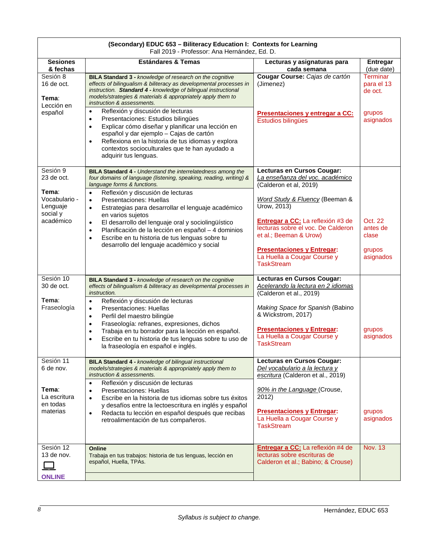| (Secondary) EDUC 653 - Biliteracy Education I: Contexts for Learning<br>Fall 2019 - Professor: Ana Hernández, Ed. D. |                                                                                                                                                                                                                                                                                                                                                              |                                                                                                         |                                          |  |  |
|----------------------------------------------------------------------------------------------------------------------|--------------------------------------------------------------------------------------------------------------------------------------------------------------------------------------------------------------------------------------------------------------------------------------------------------------------------------------------------------------|---------------------------------------------------------------------------------------------------------|------------------------------------------|--|--|
| <b>Sesiones</b><br>& fechas                                                                                          | <b>Estándares &amp; Temas</b>                                                                                                                                                                                                                                                                                                                                | Lecturas y asignaturas para<br>cada semana                                                              | <b>Entregar</b><br>(due date)            |  |  |
| Sesión 8<br>16 de oct.<br>Tema∶<br>Lección en                                                                        | BILA Standard 3 - knowledge of research on the cognitive<br>effects of bilingualism & biliteracy as developmental processes in<br>instruction. Standard 4 - knowledge of bilingual instructional<br>models/strategies & materials & appropriately apply them to<br>instruction & assessments.                                                                | Cougar Course: Cajas de cartón<br>(Jimenez)                                                             | <b>Terminar</b><br>para el 13<br>de oct. |  |  |
| español                                                                                                              | Reflexión y discusión de lecturas<br>$\bullet$<br>Presentaciones: Estudios bilingües<br>$\bullet$<br>Explicar cómo diseñar y planificar una lección en<br>$\bullet$<br>español y dar ejemplo - Cajas de cartón<br>Reflexiona en la historia de tus idiomas y explora<br>$\bullet$<br>contextos socioculturales que te han ayudado a<br>adquirir tus lenguas. | Presentaciones y entregar a CC:<br>Estudios bilingües                                                   | grupos<br>asignados                      |  |  |
| Sesión 9<br>23 de oct.<br>Tema∶                                                                                      | BILA Standard 4 - Understand the interrelatedness among the<br>four domains of language (listening, speaking, reading, writing) &<br>language forms & functions.                                                                                                                                                                                             | Lecturas en Cursos Cougar:<br>La enseñanza del voc. académico<br>(Calderon et al, 2019)                 |                                          |  |  |
| Vocabulario -<br>Lenguaje<br>social y                                                                                | Reflexión y discusión de lecturas<br>$\bullet$<br>Presentaciones: Huellas<br>$\bullet$<br>Estrategias para desarrollar el lenguaje académico<br>$\bullet$<br>en varios sujetos                                                                                                                                                                               | Word Study & Fluency (Beeman &<br>Urow, 2013)                                                           |                                          |  |  |
| académico                                                                                                            | El desarrollo del lenguaje oral y sociolingüístico<br>$\bullet$<br>Planificación de la lección en español - 4 dominios<br>$\bullet$<br>Escribe en tu historia de tus lenguas sobre tu<br>$\bullet$                                                                                                                                                           | Entregar a CC: La reflexión #3 de<br>lecturas sobre el voc. De Calderon<br>et al.; Beeman & Urow)       | Oct. 22<br>antes de<br>clase             |  |  |
|                                                                                                                      | desarrollo del lenguaje académico y social                                                                                                                                                                                                                                                                                                                   | <b>Presentaciones y Entregar:</b><br>La Huella a Cougar Course y<br><b>TaskStream</b>                   | grupos<br>asignados                      |  |  |
| Sesión 10<br>30 de oct.                                                                                              | BILA Standard 3 - knowledge of research on the cognitive<br>effects of bilingualism & biliteracy as developmental processes in<br>instruction.                                                                                                                                                                                                               | Lecturas en Cursos Cougar:<br>Acelerando la lectura en 2 idiomas<br>(Calderon et al., 2019)             |                                          |  |  |
| Tema∶<br>Fraseología                                                                                                 | Reflexión y discusión de lecturas<br>$\bullet$<br>Presentaciones: Huellas<br>$\bullet$<br>Perfil del maestro bilingüe<br>$\bullet$                                                                                                                                                                                                                           | Making Space for Spanish (Babino<br>& Wickstrom, 2017)                                                  |                                          |  |  |
|                                                                                                                      | Fraseología: refranes, expresiones, dichos<br>$\bullet$<br>Trabaja en tu borrador para la lección en español.<br>$\bullet$<br>Escribe en tu historia de tus lenguas sobre tu uso de<br>$\bullet$<br>la fraseología en español e inglés.                                                                                                                      | <b>Presentaciones y Entregar:</b><br>La Huella a Cougar Course y<br><b>TaskStream</b>                   | grupos<br>asignados                      |  |  |
| Sesión 11<br>6 de nov.                                                                                               | <b>BILA Standard 4 - knowledge of bilingual instructional</b><br>models/strategies & materials & appropriately apply them to<br>instruction & assessments.                                                                                                                                                                                                   | Lecturas en Cursos Cougar:<br>Del vocabulario a la lectura y<br>escritura (Calderon et al., 2019)       |                                          |  |  |
| Tema∶<br>La escritura<br>en todas                                                                                    | Reflexión y discusión de lecturas<br>$\bullet$<br>Presentaciones: Huellas<br>$\bullet$<br>Escribe en la historia de tus idiomas sobre tus éxitos<br>$\bullet$<br>y desafíos entre la lectoescritura en inglés y español                                                                                                                                      | 90% in the Language (Crouse,<br>2012)                                                                   |                                          |  |  |
| materias                                                                                                             | Redacta tu lección en español después que recibas<br>$\bullet$<br>retroalimentación de tus compañeros.                                                                                                                                                                                                                                                       | <b>Presentaciones y Entregar:</b><br>La Huella a Cougar Course y<br><b>TaskStream</b>                   | grupos<br>asignados                      |  |  |
| Sesión 12<br>13 de nov.<br><b>ONLINE</b>                                                                             | Online<br>Trabaja en tus trabajos: historia de tus lenguas, lección en<br>español, Huella, TPAs.                                                                                                                                                                                                                                                             | Entregar a CC: La reflexión #4 de<br>lecturas sobre escrituras de<br>Calderon et al.; Babino; & Crouse) | <b>Nov. 13</b>                           |  |  |
|                                                                                                                      |                                                                                                                                                                                                                                                                                                                                                              |                                                                                                         |                                          |  |  |

Г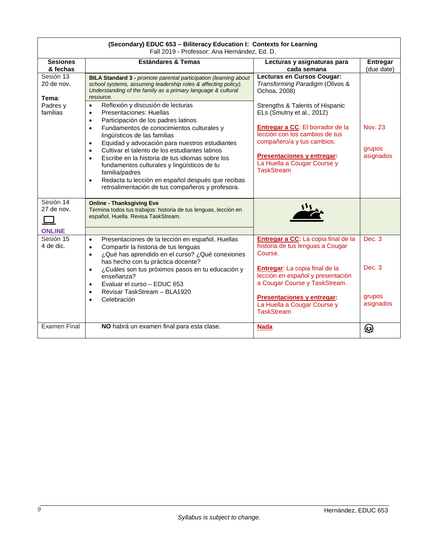| (Secondary) EDUC 653 – Biliteracy Education I: Contexts for Learning<br>Fall 2019 - Professor: Ana Hernández, Ed. D. |                                                                                                                                                                                                                                                                                                                                                                                                                                                                                                                                                                                                                                                                                                                                                                                                                                        |                                                                                                                                                                                                                                                                                                                                                                  |                                                     |  |  |
|----------------------------------------------------------------------------------------------------------------------|----------------------------------------------------------------------------------------------------------------------------------------------------------------------------------------------------------------------------------------------------------------------------------------------------------------------------------------------------------------------------------------------------------------------------------------------------------------------------------------------------------------------------------------------------------------------------------------------------------------------------------------------------------------------------------------------------------------------------------------------------------------------------------------------------------------------------------------|------------------------------------------------------------------------------------------------------------------------------------------------------------------------------------------------------------------------------------------------------------------------------------------------------------------------------------------------------------------|-----------------------------------------------------|--|--|
| <b>Sesiones</b>                                                                                                      | <b>Estándares &amp; Temas</b>                                                                                                                                                                                                                                                                                                                                                                                                                                                                                                                                                                                                                                                                                                                                                                                                          | Lecturas y asignaturas para                                                                                                                                                                                                                                                                                                                                      | Entregar                                            |  |  |
| & fechas<br>Sesión 13<br>20 de nov.<br>Tema:<br>Padres y<br>familias                                                 | <b>BILA Standard 3 - promote parental participation (learning about</b><br>school systems, assuming leadership roles & affecting policy).<br>Understanding of the family as a primary language & cultural<br>resource.<br>Reflexión y discusión de lecturas<br>$\bullet$<br>Presentaciones: Huellas<br>$\bullet$<br>Participación de los padres latinos<br>$\bullet$<br>Fundamentos de conocimientos culturales y<br>$\bullet$<br>lingüísticos de las familias<br>Equidad y advocación para nuestros estudiantes<br>$\bullet$<br>Cultivar el talento de los estudiantes latinos<br>Escribe en la historia de tus idiomas sobre los<br>$\bullet$<br>fundamentos culturales y lingüísticos de tu<br>familia/padres<br>Redacta tu lección en español después que recibas<br>$\bullet$<br>retroalimentación de tus compañeros y profesora. | cada semana<br>Lecturas en Cursos Cougar:<br>Transforming Paradigm (Olivos &<br>Ochoa, 2008)<br>Strengths & Talents of Hispanic<br>ELs (Smutny et al., 2012)<br><b>Entregar a CC:</b> El borrador de la<br>lección con los cambios de tus<br>compañero/a y tus cambios.<br><b>Presentaciones y entregar:</b><br>La Huella a Cougar Course y<br><b>TaskStream</b> | (due date)<br><b>Nov. 23</b><br>grupos<br>asignados |  |  |
| Sesión 14<br>27 de nov.                                                                                              | <b>Online - Thanksgiving Eve</b><br>Termina todos tus trabajos: historia de tus lenguas, lección en<br>español, Huella. Revisa TaskStream.                                                                                                                                                                                                                                                                                                                                                                                                                                                                                                                                                                                                                                                                                             |                                                                                                                                                                                                                                                                                                                                                                  |                                                     |  |  |
| <b>ONLINE</b>                                                                                                        |                                                                                                                                                                                                                                                                                                                                                                                                                                                                                                                                                                                                                                                                                                                                                                                                                                        |                                                                                                                                                                                                                                                                                                                                                                  |                                                     |  |  |
| Sesión 15<br>4 de dic.                                                                                               | Presentaciones de la lección en español, Huellas<br>$\bullet$<br>Compartir la historia de tus lenguas<br>$\bullet$<br>¿Qué has aprendido en el curso? ¿Qué conexiones<br>$\bullet$<br>has hecho con tu práctica docente?<br>¿Cuáles son tus próximos pasos en tu educación y<br>$\bullet$<br>enseñanza?<br>Evaluar el curso - EDUC 653<br>$\bullet$<br>Revisar TaskStream - BLA1920<br>$\bullet$<br>Celebración<br>$\bullet$                                                                                                                                                                                                                                                                                                                                                                                                           | Entregar a CC: La copia final de la<br>historia de tus lenguas a Cougar<br>Course.<br>Entregar: La copia final de la<br>lección en español y presentación<br>a Cougar Course y TaskStream.<br><b>Presentaciones y entregar:</b>                                                                                                                                  | Dec. 3<br>Dec. 3<br>grupos                          |  |  |
| <b>Examen Final</b>                                                                                                  | NO habrá un examen final para esta clase.                                                                                                                                                                                                                                                                                                                                                                                                                                                                                                                                                                                                                                                                                                                                                                                              | La Huella a Cougar Course y<br><b>TaskStream</b><br><b>Nada</b>                                                                                                                                                                                                                                                                                                  | asignados                                           |  |  |

# **(Secondary) EDUC 653 – Biliteracy Education I: Contexts for Learning**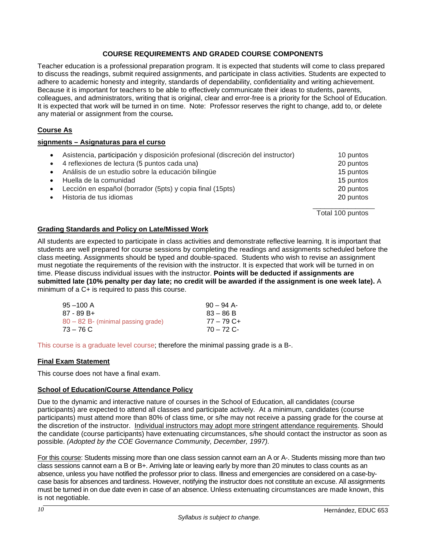# **COURSE REQUIREMENTS AND GRADED COURSE COMPONENTS**

<span id="page-10-0"></span>Teacher education is a professional preparation program. It is expected that students will come to class prepared to discuss the readings, submit required assignments, and participate in class activities. Students are expected to adhere to academic honesty and integrity, standards of dependability, confidentiality and writing achievement. Because it is important for teachers to be able to effectively communicate their ideas to students, parents, colleagues, and administrators, writing that is original, clear and error-free is a priority for the School of Education. It is expected that work will be turned in on time. Note: Professor reserves the right to change, add to, or delete any material or assignment from the course*.*

# <span id="page-10-1"></span>**Course As**

#### **signments – Asignaturas para el curso**

| $\bullet$ | Asistencia, participación y disposición profesional (discreción del instructor)<br>• 4 reflexiones de lectura (5 puntos cada una) | 10 puntos<br>20 puntos |
|-----------|-----------------------------------------------------------------------------------------------------------------------------------|------------------------|
| $\bullet$ | Análisis de un estudio sobre la educación bilingüe                                                                                | 15 puntos              |
| $\bullet$ | Huella de la comunidad                                                                                                            | 15 puntos              |
| $\bullet$ | Lección en español (borrador (5pts) y copia final (15pts)                                                                         | 20 puntos              |
|           | Historia de tus idiomas                                                                                                           | 20 puntos              |
|           |                                                                                                                                   | Total 100 puntos       |

# <span id="page-10-2"></span>**Grading Standards and Policy on Late/Missed Work**

All students are expected to participate in class activities and demonstrate reflective learning. It is important that students are well prepared for course sessions by completing the readings and assignments scheduled before the class meeting. Assignments should be typed and double-spaced. Students who wish to revise an assignment must negotiate the requirements of the revision with the instructor. It is expected that work will be turned in on time. Please discuss individual issues with the instructor. **Points will be deducted if assignments are submitted late (10% penalty per day late; no credit will be awarded if the assignment is one week late).** A minimum of a C+ is required to pass this course.

| $90 - 94$ A- |
|--------------|
| $83 - 86 B$  |
| $77 - 79$ C+ |
| $70 - 72$ C- |
|              |

This course is a graduate level course; therefore the minimal passing grade is a B-.

#### <span id="page-10-3"></span>**Final Exam Statement**

This course does not have a final exam.

#### <span id="page-10-4"></span>**School of Education/Course Attendance Policy**

Due to the dynamic and interactive nature of courses in the School of Education, all candidates (course participants) are expected to attend all classes and participate actively. At a minimum, candidates (course participants) must attend more than 80% of class time, or s/he may not receive a passing grade for the course at the discretion of the instructor. Individual instructors may adopt more stringent attendance requirements. Should the candidate (course participants) have extenuating circumstances, s/he should contact the instructor as soon as possible. *(Adopted by the COE Governance Community, December, 1997).*

For this course: Students missing more than one class session cannot earn an A or A-. Students missing more than two class sessions cannot earn a B or B+. Arriving late or leaving early by more than 20 minutes to class counts as an absence, unless you have notified the professor prior to class. Illness and emergencies are considered on a case-bycase basis for absences and tardiness. However, notifying the instructor does not constitute an excuse. All assignments must be turned in on due date even in case of an absence. Unless extenuating circumstances are made known, this is not negotiable.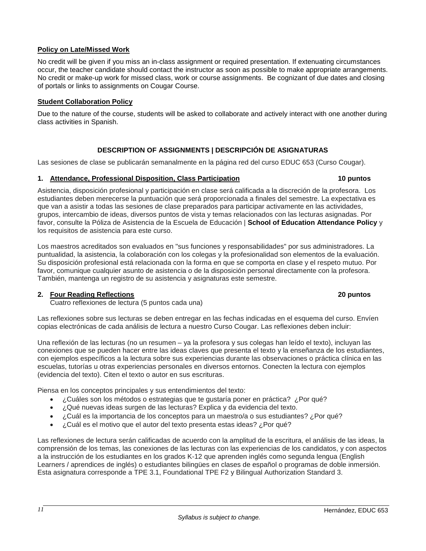# <span id="page-11-0"></span>**Policy on Late/Missed Work**

No credit will be given if you miss an in-class assignment or required presentation. If extenuating circumstances occur, the teacher candidate should contact the instructor as soon as possible to make appropriate arrangements. No credit or make-up work for missed class, work or course assignments. Be cognizant of due dates and closing of portals or links to assignments on Cougar Course.

# <span id="page-11-1"></span>**Student Collaboration Policy**

Due to the nature of the course, students will be asked to collaborate and actively interact with one another during class activities in Spanish.

# **DESCRIPTION OF ASSIGNMENTS | DESCRIPCIÓN DE ASIGNATURAS**

<span id="page-11-2"></span>Las sesiones de clase se publicarán semanalmente en la página red del curso EDUC 653 (Curso Cougar).

#### <span id="page-11-3"></span>**1. Attendance, Professional Disposition, Class Participation 10 puntos**

Asistencia, disposición profesional y participación en clase será calificada a la discreción de la profesora. Los estudiantes deben merecerse la puntuación que será proporcionada a finales del semestre. La expectativa es que van a asistir a todas las sesiones de clase preparados para participar activamente en las actividades, grupos, intercambio de ideas, diversos puntos de vista y temas relacionados con las lecturas asignadas. Por favor, consulte la Póliza de Asistencia de la Escuela de Educación | **School of Education Attendance Policy** y los requisitos de asistencia para este curso.

Los maestros acreditados son evaluados en "sus funciones y responsabilidades" por sus administradores. La puntualidad, la asistencia, la colaboración con los colegas y la profesionalidad son elementos de la evaluación. Su disposición profesional está relacionada con la forma en que se comporta en clase y el respeto mutuo. Por favor, comunique cualquier asunto de asistencia o de la disposición personal directamente con la profesora. También, mantenga un registro de su asistencia y asignaturas este semestre.

#### <span id="page-11-4"></span>**2. Four Reading Reflections 20 puntos**

Cuatro reflexiones de lectura (5 puntos cada una)

Las reflexiones sobre sus lecturas se deben entregar en las fechas indicadas en el esquema del curso. Envíen copias electrónicas de cada análisis de lectura a nuestro Curso Cougar. Las reflexiones deben incluir:

Una reflexión de las lecturas (no un resumen – ya la profesora y sus colegas han leído el texto), incluyan las conexiones que se pueden hacer entre las ideas claves que presenta el texto y la enseñanza de los estudiantes, con ejemplos específicos a la lectura sobre sus experiencias durante las observaciones o práctica clínica en las escuelas, tutorías u otras experiencias personales en diversos entornos. Conecten la lectura con ejemplos (evidencia del texto). Citen el texto o autor en sus escrituras.

Piensa en los conceptos principales y sus entendimientos del texto:

- ¿Cuáles son los métodos o estrategias que te gustaría poner en práctica? ¿Por qué?
- ¿Qué nuevas ideas surgen de las lecturas? Explica y da evidencia del texto.
- ¿Cuál es la importancia de los conceptos para un maestro/a o sus estudiantes? ¿Por qué?
- ¿Cuál es el motivo que el autor del texto presenta estas ideas? ¿Por qué?

Las reflexiones de lectura serán calificadas de acuerdo con la amplitud de la escritura, el análisis de las ideas, la comprensión de los temas, las conexiones de las lecturas con las experiencias de los candidatos, y con aspectos a la instrucción de los estudiantes en los grados K-12 que aprenden inglés como segunda lengua (English Learners / aprendices de inglés) o estudiantes bilingües en clases de español o programas de doble inmersión. Esta asignatura corresponde a TPE 3.1, Foundational TPE F2 y Bilingual Authorization Standard 3.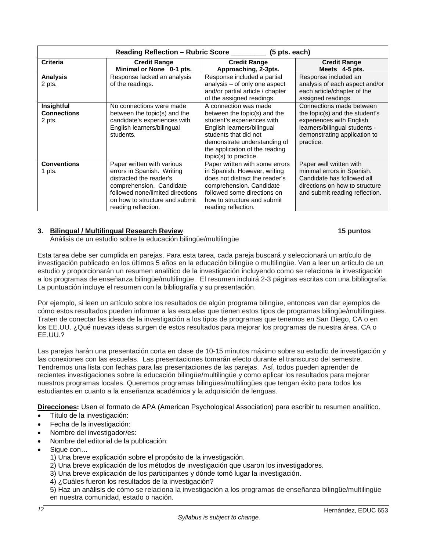| Reading Reflection - Rubric Score __________ (5 pts. each) |                                                                                                                                                                                                              |                                                                                                                                                                                                                                       |                                                                                                                                                                      |  |
|------------------------------------------------------------|--------------------------------------------------------------------------------------------------------------------------------------------------------------------------------------------------------------|---------------------------------------------------------------------------------------------------------------------------------------------------------------------------------------------------------------------------------------|----------------------------------------------------------------------------------------------------------------------------------------------------------------------|--|
| <b>Criteria</b>                                            | <b>Credit Range</b><br>Minimal or None 0-1 pts.                                                                                                                                                              | <b>Credit Range</b><br>Approaching, 2-3pts.                                                                                                                                                                                           | <b>Credit Range</b><br>Meets 4-5 pts.                                                                                                                                |  |
| <b>Analysis</b><br>2 pts.                                  | Response lacked an analysis<br>of the readings.                                                                                                                                                              | Response included a partial<br>analysis - of only one aspect<br>and/or partial article / chapter<br>of the assigned readings.                                                                                                         | Response included an<br>analysis of each aspect and/or<br>each article/chapter of the<br>assigned readings.                                                          |  |
| Insightful<br><b>Connections</b><br>2 pts.                 | No connections were made<br>between the topic(s) and the<br>candidate's experiences with<br>English learners/bilingual<br>students.                                                                          | A connection was made<br>between the topic(s) and the<br>student's experiences with<br>English learners/bilingual<br>students that did not<br>demonstrate understanding of<br>the application of the reading<br>topic(s) to practice. | Connections made between<br>the topic(s) and the student's<br>experiences with English<br>learners/bilingual students -<br>demonstrating application to<br>practice. |  |
| <b>Conventions</b><br>1 pts.                               | Paper written with various<br>errors in Spanish. Writing<br>distracted the reader's<br>comprehension. Candidate<br>followed none/limited directions<br>on how to structure and submit<br>reading reflection. | Paper written with some errors<br>in Spanish. However, writing<br>does not distract the reader's<br>comprehension. Candidate<br>followed some directions on<br>how to structure and submit<br>reading reflection.                     | Paper well written with<br>minimal errors in Spanish.<br>Candidate has followed all<br>directions on how to structure<br>and submit reading reflection.              |  |

# <span id="page-12-0"></span>**3. Bilingual / Multilingual Research Review 15 puntos**

Análisis de un estudio sobre la educación bilingüe/multilingüe

Esta tarea debe ser cumplida en parejas. Para esta tarea, cada pareja buscará y seleccionará un artículo de investigación publicado en los últimos 5 años en la educación bilingüe o multilingüe. Van a leer un artículo de un estudio y proporcionarán un resumen analítico de la investigación incluyendo como se relaciona la investigación a los programas de enseñanza bilingüe/multilingüe. El resumen incluirá 2-3 páginas escritas con una bibliografía. La puntuación incluye el resumen con la bibliografía y su presentación.

Por ejemplo, si leen un artículo sobre los resultados de algún programa bilingüe, entonces van dar ejemplos de cómo estos resultados pueden informar a las escuelas que tienen estos tipos de programas bilingüe/multilingües. Traten de conectar las ideas de la investigación a los tipos de programas que tenemos en San Diego, CA o en los EE.UU. ¿Qué nuevas ideas surgen de estos resultados para mejorar los programas de nuestra área, CA o EE.UU.?

Las parejas harán una presentación corta en clase de 10-15 minutos máximo sobre su estudio de investigación y las conexiones con las escuelas. Las presentaciones tomarán efecto durante el transcurso del semestre. Tendremos una lista con fechas para las presentaciones de las parejas. Así, todos pueden aprender de recientes investigaciones sobre la educación bilingüe/multilingüe y como aplicar los resultados para mejorar nuestros programas locales. Queremos programas bilingües/multilingües que tengan éxito para todos los estudiantes en cuanto a la enseñanza académica y la adquisición de lenguas.

**Direcciones:** Usen el formato de APA (American Psychological Association) para escribir tu resumen analítico.

- Título de la investigación:
- Fecha de la investigación:
- Nombre del investigador/es:
- Nombre del editorial de la publicación:
- Sique con...
	- 1) Una breve explicación sobre el propósito de la investigación.
	- 2) Una breve explicación de los métodos de investigación que usaron los investigadores.
	- 3) Una breve explicación de los participantes y dónde tomó lugar la investigación.
	- 4) ¿Cuáles fueron los resultados de la investigación?

5) Haz un análisis de cómo se relaciona la investigación a los programas de enseñanza bilingüe/multilingüe en nuestra comunidad, estado o nación.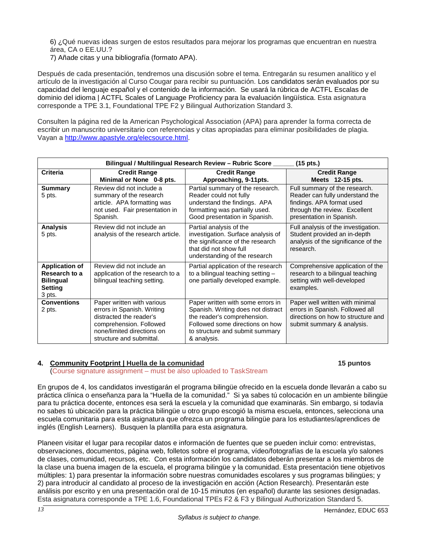6) ¿Qué nuevas ideas surgen de estos resultados para mejorar los programas que encuentran en nuestra área, CA o EE.UU.?

7) Añade citas y una bibliografía (formato APA).

Después de cada presentación, tendremos una discusión sobre el tema. Entregarán su resumen analítico y el artículo de la investigación al Curso Cougar para recibir su puntuación. Los candidatos serán evaluados por su capacidad del lenguaje español y el contenido de la información. Se usará la rúbrica de ACTFL Escalas de dominio del idioma | ACTFL Scales of Language Proficiency para la evaluación lingüística. Esta asignatura corresponde a TPE 3.1, Foundational TPE F2 y Bilingual Authorization Standard 3.

Consulten la página red de la American Psychological Association (APA) para aprender la forma correcta de escribir un manuscrito universitario con referencias y citas apropiadas para eliminar posibilidades de plagia. Vayan a [http://www.apastyle.org/elecsource.html.](http://www.apastyle.org/elecsource.html)

| Bilingual / Multilingual Research Review - Rubric Score _<br>$(15$ pts.)               |                                                                                                                                                                          |                                                                                                                                                                                             |                                                                                                                                                            |  |
|----------------------------------------------------------------------------------------|--------------------------------------------------------------------------------------------------------------------------------------------------------------------------|---------------------------------------------------------------------------------------------------------------------------------------------------------------------------------------------|------------------------------------------------------------------------------------------------------------------------------------------------------------|--|
| Criteria                                                                               | <b>Credit Range</b><br>Minimal or None 0-8 pts.                                                                                                                          | <b>Credit Range</b><br>Approaching, 9-11pts.                                                                                                                                                | <b>Credit Range</b><br>Meets 12-15 pts.                                                                                                                    |  |
| <b>Summary</b><br>5 pts.                                                               | Review did not include a<br>summary of the research<br>article. APA formatting was<br>not used. Fair presentation in<br>Spanish.                                         | Partial summary of the research.<br>Reader could not fully<br>understand the findings. APA<br>formatting was partially used.<br>Good presentation in Spanish.                               | Full summary of the research.<br>Reader can fully understand the<br>findings. APA format used<br>through the review. Excellent<br>presentation in Spanish. |  |
| <b>Analysis</b><br>5 pts.                                                              | Review did not include an<br>analysis of the research article.                                                                                                           | Partial analysis of the<br>investigation. Surface analysis of<br>the significance of the research<br>that did not show full<br>understanding of the research                                | Full analysis of the investigation.<br>Student provided an in-depth<br>analysis of the significance of the<br>research.                                    |  |
| <b>Application of</b><br>Research to a<br><b>Bilingual</b><br><b>Setting</b><br>3 pts. | Review did not include an<br>application of the research to a<br>bilingual teaching setting.                                                                             | Partial application of the research<br>to a bilingual teaching setting -<br>one partially developed example.                                                                                | Comprehensive application of the<br>research to a bilingual teaching<br>setting with well-developed<br>examples.                                           |  |
| <b>Conventions</b><br>2 pts.                                                           | Paper written with various<br>errors in Spanish. Writing<br>distracted the reader's<br>comprehension. Followed<br>none/limited directions on<br>structure and submittal. | Paper written with some errors in<br>Spanish. Writing does not distract<br>the reader's comprehension.<br>Followed some directions on how<br>to structure and submit summary<br>& analysis. | Paper well written with minimal<br>errors in Spanish. Followed all<br>directions on how to structure and<br>submit summary & analysis.                     |  |

#### <span id="page-13-0"></span>**4. Community Footprint | Huella de la comunidad 15 puntos**

(Course signature assignment – must be also uploaded to TaskStream

En grupos de 4, los candidatos investigarán el programa bilingüe ofrecido en la escuela donde llevarán a cabo su práctica clínica o enseñanza para la "Huella de la comunidad." Si ya sabes tú colocación en un ambiente bilingüe para tu práctica docente, entonces esa será la escuela y la comunidad que examinarás. Sin embargo, si todavía no sabes tú ubicación para la práctica bilingüe u otro grupo escogió la misma escuela, entonces, selecciona una escuela comunitaria para esta asignatura que ofrezca un programa bilingüe para los estudiantes/aprendices de inglés (English Learners). Busquen la plantilla para esta asignatura.

Planeen visitar el lugar para recopilar datos e información de fuentes que se pueden incluir como: entrevistas, observaciones, documentos, página web, folletos sobre el programa, vídeo/fotografías de la escuela y/o salones de clases, comunidad, recursos, etc. Con esta información los candidatos deberán presentar a los miembros de la clase una buena imagen de la escuela, el programa bilingüe y la comunidad. Esta presentación tiene objetivos múltiples: 1) para presentar la información sobre nuestras comunidades escolares y sus programas bilingües; y 2) para introducir al candidato al proceso de la investigación en acción (Action Research). Presentarán este análisis por escrito y en una presentación oral de 10-15 minutos (en español) durante las sesiones designadas. Esta asignatura corresponde a TPE 1.6, Foundational TPEs F2 & F3 y Bilingual Authorization Standard 5.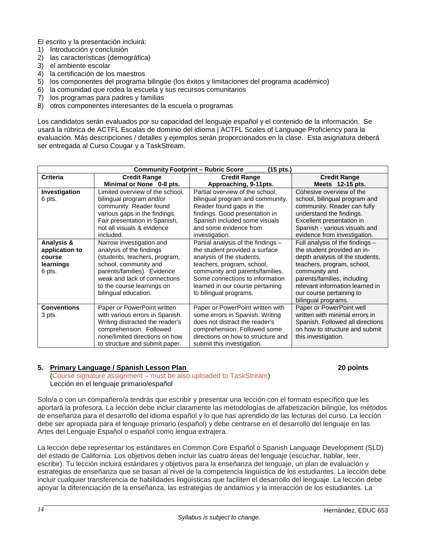El escrito y la presentación incluirá:

- 1) Introducción y conclusión
- 2) las características (demográfica)
- 3) el ambiente escolar
- 4) la certificación de los maestros
- 5) los componentes del programa bilingüe (los éxitos y limitaciones del programa académico)
- 6) la comunidad que rodea la escuela y sus recursos comunitarios
- 7) los programas para padres y familias
- 8) otros componentes interesantes de la escuela o programas

Los candidatos serán evaluados por su capacidad del lenguaje español y el contenido de la información. Se usará la rúbrica de ACTFL Escalas de dominio del idioma | ACTFL Scales of Language Proficiency para la evaluación. Más descripciones / detalles y ejemplos serán proporcionados en la clase. Esta asignatura deberá ser entregada al Curso Cougar y a TaskStream.

| <b>Community Footprint - Rubric Score</b><br>(15 pts.) |                                            |                                    |                                   |  |
|--------------------------------------------------------|--------------------------------------------|------------------------------------|-----------------------------------|--|
| <b>Criteria</b>                                        | <b>Credit Range</b><br><b>Credit Range</b> |                                    | <b>Credit Range</b>               |  |
|                                                        | Minimal or None 0-8 pts.                   | Approaching, 9-11pts.              | Meets 12-15 pts.                  |  |
| Investigation                                          | Limited overview of the school,            | Partial overview of the school,    | Cohesive overview of the          |  |
| 6 pts.                                                 | bilingual program and/or                   | bilingual program and community.   | school, bilingual program and     |  |
|                                                        | community. Reader found                    | Reader found gaps in the           | community. Reader can fully       |  |
|                                                        | various gaps in the findings.              | findings. Good presentation in     | understand the findings.          |  |
|                                                        | Fair presentation in Spanish,              | Spanish included some visuals      | Excellent presentation in         |  |
|                                                        | not all visuals & evidence                 | and some evidence from             | Spanish - various visuals and     |  |
|                                                        | included.                                  | investigation.                     | evidence from investigation.      |  |
| Analysis &                                             | Narrow investigation and                   | Partial analysis of the findings - | Full analysis of the findings $-$ |  |
| application to                                         | analysis of the findings                   | the student provided a surface     | the student provided an in-       |  |
| course                                                 | (students, teachers, program,              | analysis of the students.          | depth analysis of the students,   |  |
| learnings                                              | school, community and                      | teachers, program, school,         | teachers, program, school,        |  |
| 6 pts.                                                 | parents/families). Evidence                | community and parents/families.    | community and                     |  |
|                                                        | weak and lack of connections               | Some connections to information    | parents/families, including       |  |
|                                                        | to the course learnings on                 | learned in our course pertaining   | relevant information learned in   |  |
|                                                        | bilingual education.                       | to bilingual programs.             | our course pertaining to          |  |
|                                                        |                                            |                                    | bilingual programs.               |  |
| <b>Conventions</b>                                     | Paper or PowerPoint written                | Paper or PowerPoint written with   | Paper or PowerPoint well          |  |
| 3 pts.                                                 | with various errors in Spanish.            | some errors in Spanish. Writing    | written with minimal errors in    |  |
|                                                        | Writing distracted the reader's            | does not distract the reader's     | Spanish. Followed all directions  |  |
|                                                        | comprehension. Followed                    | comprehension. Followed some       | on how to structure and submit    |  |
|                                                        | none/limited directions on how             | directions on how to structure and | this investigation.               |  |
|                                                        | to structure and submit paper.             | submit this investigation.         |                                   |  |

#### <span id="page-14-0"></span>**5. Primary Language / Spanish Lesson Plan 20 points**

(Course signature assignment – must be also uploaded to TaskStream) Lección en el lenguaje primario/español

Solo/a o con un compañero/a tendrás que escribir y presentar una lección con el formato específico que les aportará la profesora. La lección debe incluir claramente las metodologías de alfabetización bilingüe, los métodos de enseñanza para el desarrollo del idioma español y lo que has aprendido de las lecturas del curso. La lección debe ser apropiada para el lenguaje primario (español) y debe centrarse en el desarrollo del lenguaje en las Artes del Lenguaje Español o español como lengua extrajera.

La lección debe representar los estándares en Common Core Español o Spanish Language Development (SLD) del estado de California. Los objetivos deben incluir las cuatro áreas del lenguaje (escuchar, hablar, leer, escribir). Tu lección incluirá estándares y objetivos para la enseñanza del lenguaje, un plan de evaluación y estrategias de enseñanza que se basan al nivel de la competencia lingüística de los estudiantes. La lección debe incluir cualquier transferencia de habilidades lingüísticas que faciliten el desarrollo del lenguaje. La lección debe apoyar la diferenciación de la enseñanza, las estrategias de andamios y la interacción de los estudiantes. La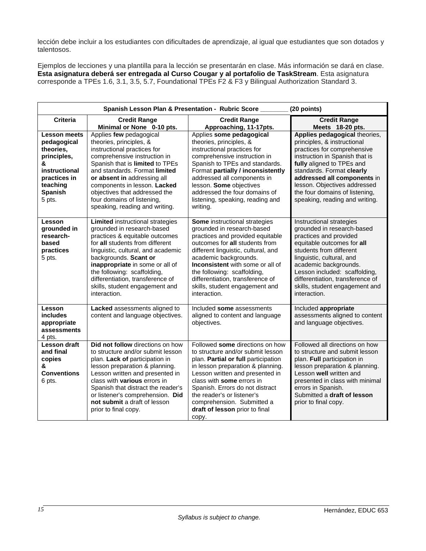lección debe incluir a los estudiantes con dificultades de aprendizaje, al igual que estudiantes que son dotados y talentosos.

Ejemplos de lecciones y una plantilla para la lección se presentarán en clase. Más información se dará en clase. **Esta asignatura deberá ser entregada al Curso Cougar y al portafolio de TaskStream**. Esta asignatura corresponde a TPEs 1.6, 3.1, 3.5, 5.7, Foundational TPEs F2 & F3 y Bilingual Authorization Standard 3.

| Spanish Lesson Plan & Presentation - Rubric Score ____<br>(20 points)                                                                        |                                                                                                                                                                                                                                                                                                                                                                   |                                                                                                                                                                                                                                                                                                                                                                   |                                                                                                                                                                                                                                                                                                                            |
|----------------------------------------------------------------------------------------------------------------------------------------------|-------------------------------------------------------------------------------------------------------------------------------------------------------------------------------------------------------------------------------------------------------------------------------------------------------------------------------------------------------------------|-------------------------------------------------------------------------------------------------------------------------------------------------------------------------------------------------------------------------------------------------------------------------------------------------------------------------------------------------------------------|----------------------------------------------------------------------------------------------------------------------------------------------------------------------------------------------------------------------------------------------------------------------------------------------------------------------------|
| <b>Criteria</b>                                                                                                                              | <b>Credit Range</b><br>Minimal or None 0-10 pts.                                                                                                                                                                                                                                                                                                                  | <b>Credit Range</b><br>Approaching, 11-17pts.                                                                                                                                                                                                                                                                                                                     | <b>Credit Range</b><br>Meets 18-20 pts.                                                                                                                                                                                                                                                                                    |
| <b>Lesson meets</b><br>pedagogical<br>theories,<br>principles,<br>&<br>instructional<br>practices in<br>teaching<br><b>Spanish</b><br>5 pts. | Applies few pedagogical<br>theories, principles, &<br>instructional practices for<br>comprehensive instruction in<br>Spanish that is limited to TPEs<br>and standards. Format limited<br>or absent in addressing all<br>components in lesson. Lacked<br>objectives that addressed the<br>four domains of listening,<br>speaking, reading and writing.             | Applies some pedagogical<br>theories, principles, &<br>instructional practices for<br>comprehensive instruction in<br>Spanish to TPEs and standards.<br>Format partially / inconsistently<br>addressed all components in<br>lesson. Some objectives<br>addressed the four domains of<br>listening, speaking, reading and<br>writing.                              | Applies pedagogical theories,<br>principles, & instructional<br>practices for comprehensive<br>instruction in Spanish that is<br>fully aligned to TPEs and<br>standards. Format clearly<br>addressed all components in<br>lesson. Objectives addressed<br>the four domains of listening,<br>speaking, reading and writing. |
| Lesson<br>grounded in<br>research-<br>based<br>practices<br>5 pts.                                                                           | <b>Limited instructional strategies</b><br>grounded in research-based<br>practices & equitable outcomes<br>for all students from different<br>linguistic, cultural, and academic<br>backgrounds. Scant or<br>inappropriate in some or all of<br>the following: scaffolding,<br>differentiation, transference of<br>skills, student engagement and<br>interaction. | Some instructional strategies<br>grounded in research-based<br>practices and provided equitable<br>outcomes for all students from<br>different linguistic, cultural, and<br>academic backgrounds.<br><b>Inconsistent</b> with some or all of<br>the following: scaffolding,<br>differentiation, transference of<br>skills, student engagement and<br>interaction. | Instructional strategies<br>grounded in research-based<br>practices and provided<br>equitable outcomes for all<br>students from different<br>linguistic, cultural, and<br>academic backgrounds.<br>Lesson included: scaffolding,<br>differentiation, transference of<br>skills, student engagement and<br>interaction.     |
| Lesson<br>includes<br>appropriate<br>assessments<br>4 pts.                                                                                   | Lacked assessments aligned to<br>content and language objectives.                                                                                                                                                                                                                                                                                                 | Included some assessments<br>aligned to content and language<br>objectives.                                                                                                                                                                                                                                                                                       | Included appropriate<br>assessments aligned to content<br>and language objectives.                                                                                                                                                                                                                                         |
| <b>Lesson draft</b><br>and final<br>copies<br>&<br><b>Conventions</b><br>6 pts.                                                              | Did not follow directions on how<br>to structure and/or submit lesson<br>plan. Lack of participation in<br>lesson preparation & planning.<br>Lesson written and presented in<br>class with <b>various</b> errors in<br>Spanish that distract the reader's<br>or listener's comprehension. Did<br>not submit a draft of lesson<br>prior to final copy.             | Followed some directions on how<br>to structure and/or submit lesson<br>plan. Partial or full participation<br>in lesson preparation & planning.<br>Lesson written and presented in<br>class with some errors in<br>Spanish. Errors do not distract<br>the reader's or listener's<br>comprehension. Submitted a<br>draft of lesson prior to final<br>copy.        | Followed all directions on how<br>to structure and submit lesson<br>plan. Full participation in<br>lesson preparation & planning.<br>Lesson well written and<br>presented in class with minimal<br>errors in Spanish.<br>Submitted a draft of lesson<br>prior to final copy.                                               |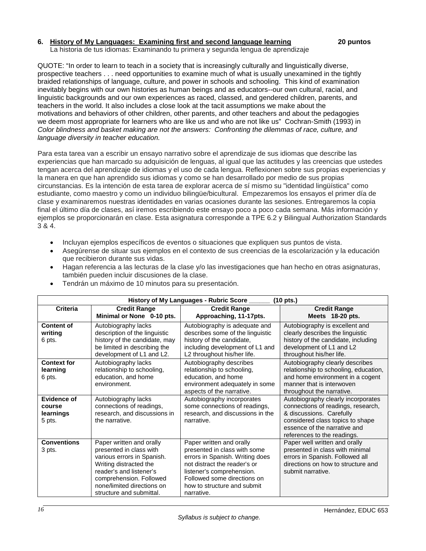#### <span id="page-16-0"></span>**6. History of My Languages: Examining first and second language learning 20 puntos**

La historia de tus idiomas: Examinando tu primera y segunda lengua de aprendizaje

QUOTE: "In order to learn to teach in a society that is increasingly culturally and linguistically diverse, prospective teachers . . . need opportunities to examine much of what is usually unexamined in the tightly braided relationships of language, culture, and power in schools and schooling. This kind of examination inevitably begins with our own histories as human beings and as educators--our own cultural, racial, and linguistic backgrounds and our own experiences as raced, classed, and gendered children, parents, and teachers in the world. It also includes a close look at the tacit assumptions we make about the motivations and behaviors of other children, other parents, and other teachers and about the pedagogies we deem most appropriate for learners who are like us and who are not like us" Cochran-Smith (1993) in *Color blindness and basket making are not the answers: Confronting the dilemmas of race, culture, and language diversity in teacher education.* 

Para esta tarea van a escribir un ensayo narrativo sobre el aprendizaje de sus idiomas que describe las experiencias que han marcado su adquisición de lenguas, al igual que las actitudes y las creencias que ustedes tengan acerca del aprendizaje de idiomas y el uso de cada lengua. Reflexionen sobre sus propias experiencias y la manera en que han aprendido sus idiomas y como se han desarrollado por medio de sus propias circunstancias. Es la intención de esta tarea de explorar acerca de sí mismo su "identidad lingüística" como estudiante, como maestro y como un individuo bilingüe/bicultural. Empezaremos los ensayos el primer día de clase y examinaremos nuestras identidades en varias ocasiones durante las sesiones. Entregaremos la copia final el último día de clases, así iremos escribiendo este ensayo poco a poco cada semana. Más información y ejemplos se proporcionarán en clase. Esta asignatura corresponde a TPE 6.2 y Bilingual Authorization Standards 3 & 4.

- Incluyan ejemplos específicos de eventos o situaciones que expliquen sus puntos de vista.
- Asegúrense de situar sus ejemplos en el contexto de sus creencias de la escolarización y la educación que recibieron durante sus vidas.
- Hagan referencia a las lecturas de la clase y/o las investigaciones que han hecho en otras asignaturas, también pueden incluir discusiones de la clase.

| History of My Languages - Rubric Score<br>(10 pts.) |                               |                                  |                                       |  |
|-----------------------------------------------------|-------------------------------|----------------------------------|---------------------------------------|--|
| <b>Criteria</b>                                     | <b>Credit Range</b>           | <b>Credit Range</b>              | <b>Credit Range</b>                   |  |
|                                                     | Minimal or None 0-10 pts.     | Approaching, 11-17pts.           | Meets 18-20 pts.                      |  |
| <b>Content of</b>                                   | Autobiography lacks           | Autobiography is adequate and    | Autobiography is excellent and        |  |
| writing                                             | description of the linguistic | describes some of the linguistic | clearly describes the linguistic      |  |
| 6 pts.                                              | history of the candidate, may | history of the candidate,        | history of the candidate, including   |  |
|                                                     | be limited in describing the  | including development of L1 and  | development of L1 and L2              |  |
|                                                     | development of L1 and L2.     | L2 throughout his/her life.      | throughout his/her life.              |  |
| <b>Context for</b>                                  | Autobiography lacks           | Autobiography describes          | Autobiography clearly describes       |  |
| learning                                            | relationship to schooling,    | relationship to schooling,       | relationship to schooling, education, |  |
| 6 pts.                                              | education, and home           | education, and home              | and home environment in a cogent      |  |
|                                                     | environment.                  | environment adequately in some   | manner that is interwoven             |  |
|                                                     |                               | aspects of the narrative.        | throughout the narrative.             |  |
| Evidence of                                         | Autobiography lacks           | Autobiography incorporates       | Autobiography clearly incorporates    |  |
| course                                              | connections of readings,      | some connections of readings,    | connections of readings, research,    |  |
| learnings                                           | research, and discussions in  | research, and discussions in the | & discussions. Carefully              |  |
| 5 pts.                                              | the narrative.                | narrative.                       | considered class topics to shape      |  |
|                                                     |                               |                                  | essence of the narrative and          |  |
|                                                     |                               |                                  | references to the readings.           |  |
| <b>Conventions</b>                                  | Paper written and orally      | Paper written and orally         | Paper well written and orally         |  |
| 3 pts.                                              | presented in class with       | presented in class with some     | presented in class with minimal       |  |
|                                                     | various errors in Spanish.    | errors in Spanish. Writing does  | errors in Spanish. Followed all       |  |
|                                                     | Writing distracted the        | not distract the reader's or     | directions on how to structure and    |  |
|                                                     | reader's and listener's       | listener's comprehension.        | submit narrative.                     |  |
|                                                     | comprehension. Followed       | Followed some directions on      |                                       |  |
|                                                     | none/limited directions on    | how to structure and submit      |                                       |  |
|                                                     | structure and submittal.      | narrative.                       |                                       |  |

• Tendrán un máximo de 10 minutos para su presentación.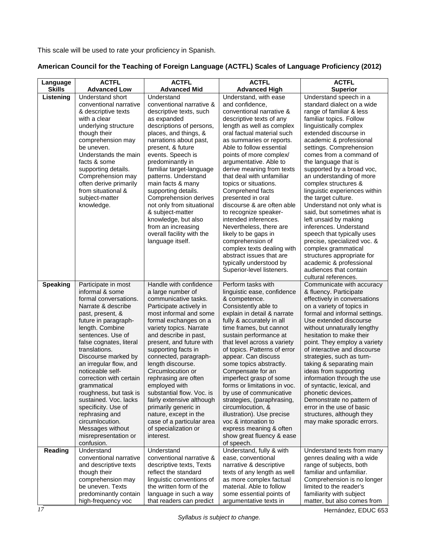This scale will be used to rate your proficiency in Spanish.

# **American Council for the Teaching of Foreign Language (ACTFL) Scales of Language Proficiency (2012)**

| Language                   | <b>ACTFL</b>                                                                                                                                                                                                                                                                                                                                                                                                                                                                                                  | <b>ACTFL</b>                                                                                                                                                                                                                                                                                                                                                                                                                                                                                                                                      | <b>ACTFL</b>                                                                                                                                                                                                                                                                                                                                                                                                                                                                                                                                                                                                                                 | <b>ACTFL</b>                                                                                                                                                                                                                                                                                                                                                                                                                                                                                                                                                                                                                                                           |
|----------------------------|---------------------------------------------------------------------------------------------------------------------------------------------------------------------------------------------------------------------------------------------------------------------------------------------------------------------------------------------------------------------------------------------------------------------------------------------------------------------------------------------------------------|---------------------------------------------------------------------------------------------------------------------------------------------------------------------------------------------------------------------------------------------------------------------------------------------------------------------------------------------------------------------------------------------------------------------------------------------------------------------------------------------------------------------------------------------------|----------------------------------------------------------------------------------------------------------------------------------------------------------------------------------------------------------------------------------------------------------------------------------------------------------------------------------------------------------------------------------------------------------------------------------------------------------------------------------------------------------------------------------------------------------------------------------------------------------------------------------------------|------------------------------------------------------------------------------------------------------------------------------------------------------------------------------------------------------------------------------------------------------------------------------------------------------------------------------------------------------------------------------------------------------------------------------------------------------------------------------------------------------------------------------------------------------------------------------------------------------------------------------------------------------------------------|
|                            |                                                                                                                                                                                                                                                                                                                                                                                                                                                                                                               |                                                                                                                                                                                                                                                                                                                                                                                                                                                                                                                                                   |                                                                                                                                                                                                                                                                                                                                                                                                                                                                                                                                                                                                                                              |                                                                                                                                                                                                                                                                                                                                                                                                                                                                                                                                                                                                                                                                        |
| <b>Skills</b><br>Listening | <b>Advanced Low</b><br>Understand short<br>conventional narrative<br>& descriptive texts<br>with a clear<br>underlying structure<br>though their<br>comprehension may<br>be uneven.<br>Understands the main<br>facts & some<br>supporting details.<br>Comprehension may<br>often derive primarily<br>from situational &<br>subject-matter<br>knowledge.                                                                                                                                                       | <b>Advanced Mid</b><br>Understand<br>conventional narrative &<br>descriptive texts, such<br>as expanded<br>descriptions of persons,<br>places, and things, &<br>narrations about past,<br>present, & future<br>events. Speech is<br>predominantly in<br>familiar target-language<br>patterns. Understand<br>main facts & many<br>supporting details.<br>Comprehension derives<br>not only from situational<br>& subject-matter<br>knowledge, but also<br>from an increasing<br>overall facility with the<br>language itself.                      | <b>Advanced High</b><br>Understand, with ease<br>and confidence,<br>conventional narrative &<br>descriptive texts of any<br>length as well as complex<br>oral factual material such<br>as summaries or reports.<br>Able to follow essential<br>points of more complex/<br>argumentative. Able to<br>derive meaning from texts<br>that deal with unfamiliar<br>topics or situations.<br>Comprehend facts<br>presented in oral<br>discourse & are often able<br>to recognize speaker-<br>intended inferences.<br>Nevertheless, there are<br>likely to be gaps in<br>comprehension of<br>complex texts dealing with<br>abstract issues that are | <b>Superior</b><br>Understand speech in a<br>standard dialect on a wide<br>range of familiar & less<br>familiar topics. Follow<br>linguistically complex<br>extended discourse in<br>academic & professional<br>settings. Comprehension<br>comes from a command of<br>the language that is<br>supported by a broad voc,<br>an understanding of more<br>complex structures &<br>linguistic experiences within<br>the target culture.<br>Understand not only what is<br>said, but sometimes what is<br>left unsaid by making<br>inferences. Understand<br>speech that typically uses<br>precise, specialized voc. &<br>complex grammatical<br>structures appropriate for |
|                            |                                                                                                                                                                                                                                                                                                                                                                                                                                                                                                               |                                                                                                                                                                                                                                                                                                                                                                                                                                                                                                                                                   | typically understood by<br>Superior-level listeners.                                                                                                                                                                                                                                                                                                                                                                                                                                                                                                                                                                                         | academic & professional<br>audiences that contain<br>cultural references.                                                                                                                                                                                                                                                                                                                                                                                                                                                                                                                                                                                              |
| <b>Speaking</b>            | Participate in most<br>informal & some<br>formal conversations.<br>Narrate & describe<br>past, present, &<br>future in paragraph-<br>length. Combine<br>sentences. Use of<br>false cognates, literal<br>translations.<br>Discourse marked by<br>an irregular flow, and<br>noticeable self-<br>correction with certain<br>grammatical<br>roughness, but task is<br>sustained. Voc. lacks<br>specificity. Use of<br>rephrasing and<br>circumlocution.<br>Messages without<br>misrepresentation or<br>confusion. | Handle with confidence<br>a large number of<br>communicative tasks.<br>Participate actively in<br>most informal and some<br>formal exchanges on a<br>variety topics. Narrate<br>and describe in past,<br>present, and future with<br>supporting facts in<br>connected, paragraph-<br>length discourse.<br>Circumlocution or<br>rephrasing are often<br>employed with<br>substantial flow. Voc. is<br>fairly extensive although<br>primarily generic in<br>nature, except in the<br>case of a particular area<br>of specialization or<br>interest. | Perform tasks with<br>linguistic ease, confidence<br>& competence.<br>Consistently able to<br>explain in detail & narrate<br>fully & accurately in all<br>time frames, but cannot<br>sustain performance at<br>that level across a variety<br>of topics. Patterns of error<br>appear. Can discuss<br>some topics abstractly.<br>Compensate for an<br>imperfect grasp of some<br>forms or limitations in voc.<br>by use of communicative<br>strategies, (paraphrasing,<br>circumlocution, &<br>illustration). Use precise<br>voc & intonation to<br>express meaning & often<br>show great fluency & ease<br>of speech.                        | Communicate with accuracy<br>& fluency. Participate<br>effectively in conversations<br>on a variety of topics in<br>formal and informal settings.<br>Use extended discourse<br>without unnaturally lengthy<br>hesitation to make their<br>point. They employ a variety<br>of interactive and discourse<br>strategies, such as turn-<br>taking & separating main<br>ideas from supporting<br>information through the use<br>of syntactic, lexical, and<br>phonetic devices.<br>Demonstrate no pattern of<br>error in the use of basic<br>structures, although they<br>may make sporadic errors.                                                                         |
| Reading                    | Understand<br>conventional narrative<br>and descriptive texts<br>though their<br>comprehension may<br>be uneven. Texts                                                                                                                                                                                                                                                                                                                                                                                        | Understand<br>conventional narrative &<br>descriptive texts, Texts<br>reflect the standard<br>linguistic conventions of<br>the written form of the                                                                                                                                                                                                                                                                                                                                                                                                | Understand, fully & with<br>ease, conventional<br>narrative & descriptive<br>texts of any length as well<br>as more complex factual<br>material. Able to follow                                                                                                                                                                                                                                                                                                                                                                                                                                                                              | Understand texts from many<br>genres dealing with a wide<br>range of subjects, both<br>familiar and unfamiliar.<br>Comprehension is no longer<br>limited to the reader's                                                                                                                                                                                                                                                                                                                                                                                                                                                                                               |
|                            | predominantly contain<br>high-frequency voc                                                                                                                                                                                                                                                                                                                                                                                                                                                                   | language in such a way<br>that readers can predict                                                                                                                                                                                                                                                                                                                                                                                                                                                                                                | some essential points of<br>argumentative texts in                                                                                                                                                                                                                                                                                                                                                                                                                                                                                                                                                                                           | familiarity with subject<br>matter, but also comes from                                                                                                                                                                                                                                                                                                                                                                                                                                                                                                                                                                                                                |

Hernández, EDUC 653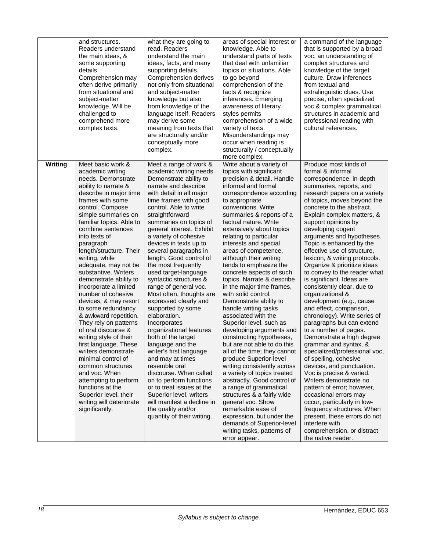|         | and structures.<br>Readers understand<br>the main ideas, &<br>some supporting<br>details.<br>Comprehension may<br>often derive primarily<br>from situational and<br>subject-matter<br>knowledge. Will be<br>challenged to<br>comprehend more<br>complex texts.                                                                                                                                                                                                                                                                                                                                                                                                                                                                                                                                                      | what they are going to<br>read. Readers<br>understand the main<br>ideas, facts, and many<br>supporting details.<br>Comprehension derives<br>not only from situational<br>and subject-matter<br>knowledge but also<br>from knowledge of the<br>language itself. Readers<br>may derive some<br>meaning from texts that<br>are structurally and/or<br>conceptually more<br>complex.                                                                                                                                                                                                                                                                                                                                                                                                                                                                                                                                    | areas of special interest or<br>knowledge. Able to<br>understand parts of texts<br>that deal with unfamiliar<br>topics or situations. Able<br>to go beyond<br>comprehension of the<br>facts & recognize<br>inferences. Emerging<br>awareness of literary<br>styles permits<br>comprehension of a wide<br>variety of texts.<br>Misunderstandings may<br>occur when reading is<br>structurally / conceptually<br>more complex.                                                                                                                                                                                                                                                                                                                                                                                                                                                                                                                                                                                                                                             | a command of the language<br>that is supported by a broad<br>voc, an understanding of<br>complex structures and<br>knowledge of the target<br>culture. Draw inferences<br>from textual and<br>extralinguistic clues. Use<br>precise, often specialized<br>voc & complex grammatical<br>structures in academic and<br>professional reading with<br>cultural references.                                                                                                                                                                                                                                                                                                                                                                                                                                                                                                                                                                                                                                                                                                                                                   |
|---------|---------------------------------------------------------------------------------------------------------------------------------------------------------------------------------------------------------------------------------------------------------------------------------------------------------------------------------------------------------------------------------------------------------------------------------------------------------------------------------------------------------------------------------------------------------------------------------------------------------------------------------------------------------------------------------------------------------------------------------------------------------------------------------------------------------------------|---------------------------------------------------------------------------------------------------------------------------------------------------------------------------------------------------------------------------------------------------------------------------------------------------------------------------------------------------------------------------------------------------------------------------------------------------------------------------------------------------------------------------------------------------------------------------------------------------------------------------------------------------------------------------------------------------------------------------------------------------------------------------------------------------------------------------------------------------------------------------------------------------------------------|--------------------------------------------------------------------------------------------------------------------------------------------------------------------------------------------------------------------------------------------------------------------------------------------------------------------------------------------------------------------------------------------------------------------------------------------------------------------------------------------------------------------------------------------------------------------------------------------------------------------------------------------------------------------------------------------------------------------------------------------------------------------------------------------------------------------------------------------------------------------------------------------------------------------------------------------------------------------------------------------------------------------------------------------------------------------------|--------------------------------------------------------------------------------------------------------------------------------------------------------------------------------------------------------------------------------------------------------------------------------------------------------------------------------------------------------------------------------------------------------------------------------------------------------------------------------------------------------------------------------------------------------------------------------------------------------------------------------------------------------------------------------------------------------------------------------------------------------------------------------------------------------------------------------------------------------------------------------------------------------------------------------------------------------------------------------------------------------------------------------------------------------------------------------------------------------------------------|
| Writing | Meet basic work &<br>academic writing<br>needs. Demonstrate<br>ability to narrate &<br>describe in major time<br>frames with some<br>control. Compose<br>simple summaries on<br>familiar topics. Able to<br>combine sentences<br>into texts of<br>paragraph<br>length/structure. Their<br>writing, while<br>adequate, may not be<br>substantive. Writers<br>demonstrate ability to<br>incorporate a limited<br>number of cohesive<br>devices, & may resort<br>to some redundancy<br>& awkward repetition.<br>They rely on patterns<br>of oral discourse &<br>writing style of their<br>first language. These<br>writers demonstrate<br>minimal control of<br>common structures<br>and voc. When<br>attempting to perform<br>functions at the<br>Superior level, their<br>writing will deteriorate<br>significantly. | Meet a range of work &<br>academic writing needs.<br>Demonstrate ability to<br>narrate and describe<br>with detail in all major<br>time frames with good<br>control. Able to write<br>straightforward<br>summaries on topics of<br>general interest. Exhibit<br>a variety of cohesive<br>devices in texts up to<br>several paragraphs in<br>length. Good control of<br>the most frequently<br>used target-language<br>syntactic structures &<br>range of general voc.<br>Most often, thoughts are<br>expressed clearly and<br>supported by some<br>elaboration.<br>Incorporates<br>organizational features<br>both of the target<br>language and the<br>writer's first language<br>and may at times<br>resemble oral<br>discourse. When called<br>on to perform functions<br>or to treat issues at the<br>Superior level, writers<br>will manifest a decline in<br>the quality and/or<br>quantity of their writing. | Write about a variety of<br>topics with significant<br>precision & detail. Handle<br>informal and formal<br>correspondence according<br>to appropriate<br>conventions. Write<br>summaries & reports of a<br>factual nature. Write<br>extensively about topics<br>relating to particular<br>interests and special<br>areas of competence,<br>although their writing<br>tends to emphasize the<br>concrete aspects of such<br>topics. Narrate & describe<br>in the major time frames,<br>with solid control.<br>Demonstrate ability to<br>handle writing tasks<br>associated with the<br>Superior level, such as<br>developing arguments and<br>constructing hypotheses,<br>but are not able to do this<br>all of the time; they cannot<br>produce Superior-level<br>writing consistently across<br>a variety of topics treated<br>abstractly. Good control of<br>a range of grammatical<br>structures & a fairly wide<br>general voc. Show<br>remarkable ease of<br>expression, but under the<br>demands of Superior-level<br>writing tasks, patterns of<br>error appear. | Produce most kinds of<br>formal & informal<br>correspondence, in-depth<br>summaries, reports, and<br>research papers on a variety<br>of topics, moves beyond the<br>concrete to the abstract.<br>Explain complex matters, &<br>support opinions by<br>developing cogent<br>arguments and hypotheses.<br>Topic is enhanced by the<br>effective use of structure,<br>lexicon, & writing protocols.<br>Organize & prioritize ideas<br>to convey to the reader what<br>is significant. Ideas are<br>consistently clear, due to<br>organizational &<br>development (e.g., cause<br>and effect, comparison,<br>chronology). Write series of<br>paragraphs but can extend<br>to a number of pages.<br>Demonstrate a high degree<br>grammar and syntax, &<br>specialized/professional voc,<br>of spelling, cohesive<br>devices, and punctuation.<br>Voc is precise & varied.<br>Writers demonstrate no<br>pattern of error; however,<br>occasional errors may<br>occur, particularly in low-<br>frequency structures. When<br>present, these errors do not<br>interfere with<br>comprehension, or distract<br>the native reader. |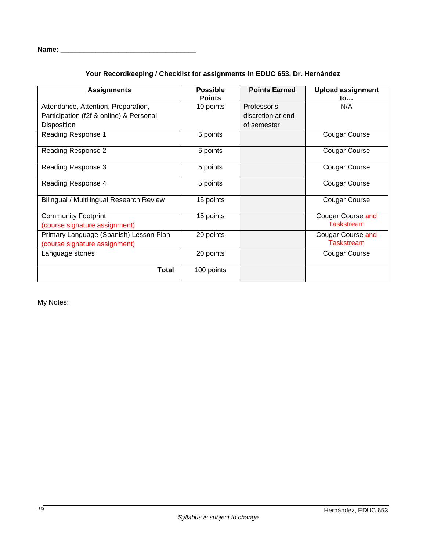| Name:<br>____ |  |
|---------------|--|
|               |  |

# **Your Recordkeeping / Checklist for assignments in EDUC 653, Dr. Hernández**

| <b>Assignments</b>                       | <b>Possible</b> | <b>Points Earned</b> | <b>Upload assignment</b> |
|------------------------------------------|-----------------|----------------------|--------------------------|
|                                          | <b>Points</b>   |                      | to                       |
| Attendance, Attention, Preparation,      | 10 points       | Professor's          | N/A                      |
| Participation (f2f & online) & Personal  |                 | discretion at end    |                          |
| <b>Disposition</b>                       |                 | of semester          |                          |
| Reading Response 1                       | 5 points        |                      | Cougar Course            |
| Reading Response 2                       | 5 points        |                      | Cougar Course            |
| Reading Response 3                       | 5 points        |                      | Cougar Course            |
| Reading Response 4                       | 5 points        |                      | <b>Cougar Course</b>     |
| Bilingual / Multilingual Research Review | 15 points       |                      | <b>Cougar Course</b>     |
| <b>Community Footprint</b>               | 15 points       |                      | Cougar Course and        |
| (course signature assignment)            |                 |                      | <b>Taskstream</b>        |
| Primary Language (Spanish) Lesson Plan   | 20 points       |                      | <b>Cougar Course and</b> |
| (course signature assignment)            |                 |                      | <b>Taskstream</b>        |
| Language stories                         | 20 points       |                      | Cougar Course            |
| <b>Total</b>                             | 100 points      |                      |                          |

My Notes: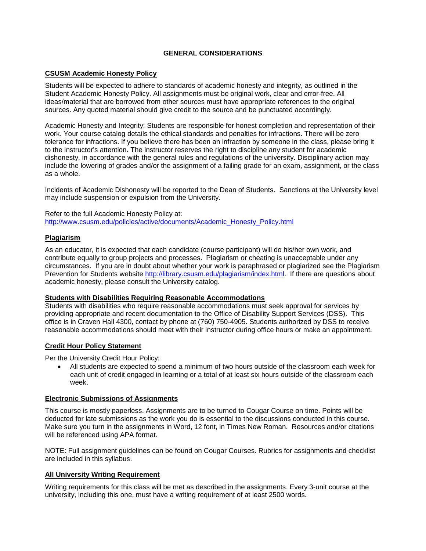# **GENERAL CONSIDERATIONS**

#### <span id="page-20-1"></span><span id="page-20-0"></span>**CSUSM Academic Honesty Policy**

Students will be expected to adhere to standards of academic honesty and integrity, as outlined in the Student Academic Honesty Policy. All assignments must be original work, clear and error-free. All ideas/material that are borrowed from other sources must have appropriate references to the original sources. Any quoted material should give credit to the source and be punctuated accordingly.

Academic Honesty and Integrity: Students are responsible for honest completion and representation of their work. Your course catalog details the ethical standards and penalties for infractions. There will be zero tolerance for infractions. If you believe there has been an infraction by someone in the class, please bring it to the instructor's attention. The instructor reserves the right to discipline any student for academic dishonesty, in accordance with the general rules and regulations of the university. Disciplinary action may include the lowering of grades and/or the assignment of a failing grade for an exam, assignment, or the class as a whole.

Incidents of Academic Dishonesty will be reported to the Dean of Students. Sanctions at the University level may include suspension or expulsion from the University.

Refer to the full Academic Honesty Policy at: [http://www.csusm.edu/policies/active/documents/Academic\\_Honesty\\_Policy.html](http://www.csusm.edu/policies/active/documents/Academic_Honesty_Policy.html)

#### <span id="page-20-2"></span>**Plagiarism**

As an educator, it is expected that each candidate (course participant) will do his/her own work, and contribute equally to group projects and processes. Plagiarism or cheating is unacceptable under any circumstances. If you are in doubt about whether your work is paraphrased or plagiarized see the Plagiarism Prevention for Students website [http://library.csusm.edu/plagiarism/index.html.](http://library.csusm.edu/plagiarism/index.html) If there are questions about academic honesty, please consult the University catalog.

#### **Students with Disabilities Requiring Reasonable Accommodations**

Students with disabilities who require reasonable accommodations must seek approval for services by providing appropriate and recent documentation to the Office of Disability Support Services (DSS). This office is in Craven Hall 4300, contact by phone at (760) 750-4905. Students authorized by DSS to receive reasonable accommodations should meet with their instructor during office hours or make an appointment.

#### <span id="page-20-3"></span>**Credit Hour Policy Statement**

Per the University Credit Hour Policy:

• All students are expected to spend a minimum of two hours outside of the classroom each week for each unit of credit engaged in learning or a total of at least six hours outside of the classroom each week.

#### <span id="page-20-4"></span>**Electronic Submissions of Assignments**

This course is mostly paperless. Assignments are to be turned to Cougar Course on time. Points will be deducted for late submissions as the work you do is essential to the discussions conducted in this course. Make sure you turn in the assignments in Word, 12 font, in Times New Roman. Resources and/or citations will be referenced using APA format.

NOTE: Full assignment guidelines can be found on Cougar Courses. Rubrics for assignments and checklist are included in this syllabus.

#### <span id="page-20-5"></span>**All University Writing Requirement**

Writing requirements for this class will be met as described in the assignments. Every 3-unit course at the university, including this one, must have a writing requirement of at least 2500 words.